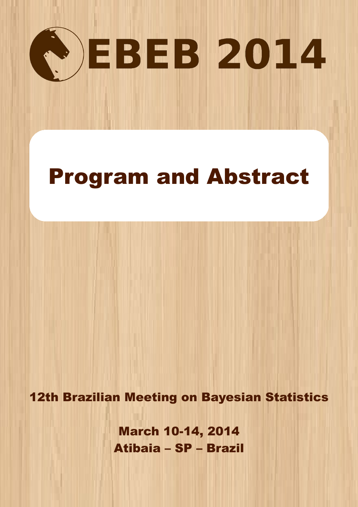

# Program and Abstract

12th Brazilian Meeting on Bayesian Statistics

March 10-14, 2014 Atibaia – SP – Brazil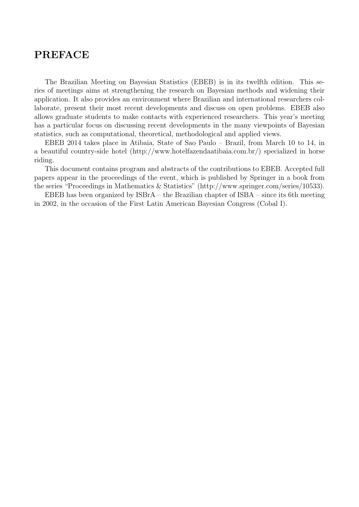### PREFACE

The Brazilian Meeting on Bayesian Statistics (EBEB) is in its twelfth edition. This series of meetings aims at strengthening the research on Bayesian methods and widening their application. It also provides an environment where Brazilian and international researchers collaborate, present their most recent developments and discuss on open problems. EBEB also allows graduate students to make contacts with experienced researchers. This year's meeting has a particular focus on discussing recent developments in the many viewpoints of Bayesian statistics, such as computational, theoretical, methodological and applied views.

EBEB 2014 takes place in Atibaia, State of Sao Paulo – Brazil, from March 10 to 14, in a beautiful country-side hotel (http://www.hotelfazendaatibaia.com.br/) specialized in horse riding.

This document contains program and abstracts of the contributions to EBEB. Accepted full papers appear in the proceedings of the event, which is published by Springer in a book from the series "Proceedings in Mathematics & Statistics" (http://www.springer.com/series/10533).

EBEB has been organized by ISBrA – the Brazilian chapter of ISBA – since its 6th meeting in 2002, in the occasion of the First Latin American Bayesian Congress (Cobal I).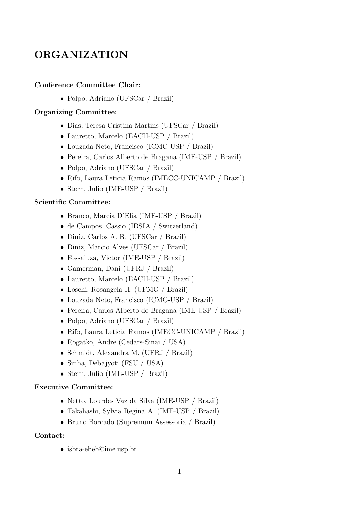## ORGANIZATION

#### Conference Committee Chair:

• Polpo, Adriano (UFSCar / Brazil)

#### Organizing Committee:

- Dias, Teresa Cristina Martins (UFSCar / Brazil)
- Lauretto, Marcelo (EACH-USP / Brazil)
- Louzada Neto, Francisco (ICMC-USP / Brazil)
- Pereira, Carlos Alberto de Bragana (IME-USP / Brazil)
- Polpo, Adriano (UFSCar / Brazil)
- Rifo, Laura Leticia Ramos (IMECC-UNICAMP / Brazil)
- Stern, Julio (IME-USP / Brazil)

#### Scientific Committee:

- Branco, Marcia D'Elia (IME-USP / Brazil)
- de Campos, Cassio (IDSIA / Switzerland)
- Diniz, Carlos A. R. (UFSCar / Brazil)
- Diniz, Marcio Alves (UFSCar / Brazil)
- Fossaluza, Victor (IME-USP / Brazil)
- Gamerman, Dani (UFRJ / Brazil)
- Lauretto, Marcelo (EACH-USP / Brazil)
- Loschi, Rosangela H. (UFMG / Brazil)
- Louzada Neto, Francisco (ICMC-USP / Brazil)
- Pereira, Carlos Alberto de Bragana (IME-USP / Brazil)
- Polpo, Adriano (UFSCar / Brazil)
- Rifo, Laura Leticia Ramos (IMECC-UNICAMP / Brazil)
- Rogatko, Andre (Cedars-Sinai / USA)
- Schmidt, Alexandra M. (UFRJ / Brazil)
- Sinha, Debajyoti (FSU / USA)
- Stern, Julio (IME-USP / Brazil)

#### Executive Committee:

- Netto, Lourdes Vaz da Silva (IME-USP / Brazil)
- Takahashi, Sylvia Regina A. (IME-USP / Brazil)
- Bruno Borcado (Supremum Assessoria / Brazil)

#### Contact:

• isbra-ebeb@ime.usp.br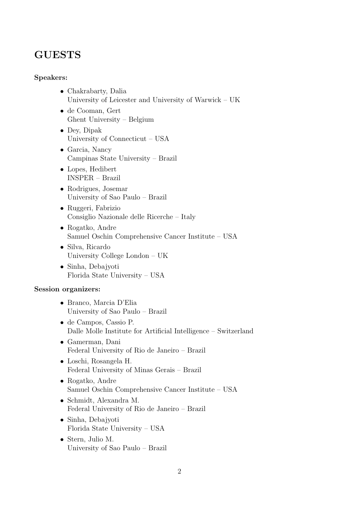### GUESTS

#### Speakers:

- Chakrabarty, Dalia University of Leicester and University of Warwick – UK
- de Cooman, Gert Ghent University – Belgium
- Dey, Dipak University of Connecticut – USA
- Garcia, Nancy Campinas State University – Brazil
- Lopes, Hedibert INSPER – Brazil
- Rodrigues, Josemar University of Sao Paulo – Brazil
- Ruggeri, Fabrizio Consiglio Nazionale delle Ricerche – Italy
- Rogatko, Andre Samuel Oschin Comprehensive Cancer Institute – USA
- Silva, Ricardo University College London – UK
- Sinha, Debajyoti Florida State University – USA

#### Session organizers:

- Branco, Marcia D'Elia University of Sao Paulo – Brazil
- de Campos, Cassio P. Dalle Molle Institute for Artificial Intelligence – Switzerland
- Gamerman, Dani Federal University of Rio de Janeiro – Brazil
- Loschi, Rosangela H. Federal University of Minas Gerais – Brazil
- Rogatko, Andre Samuel Oschin Comprehensive Cancer Institute – USA
- Schmidt, Alexandra M. Federal University of Rio de Janeiro – Brazil
- Sinha, Debajyoti Florida State University – USA
- Stern, Julio M. University of Sao Paulo – Brazil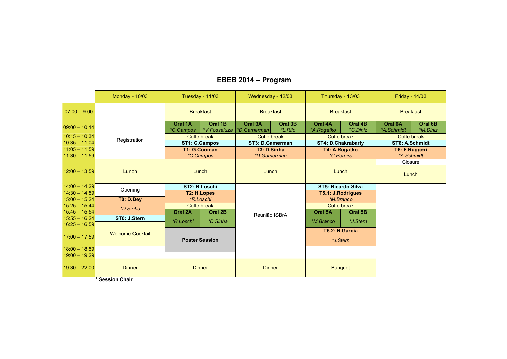#### Monday - 10/03Tuesday - 11/03 **Wednesday - 12/03** Thursday - 13/03 **Friday - 14/03** 07:00 – 9:00 Breakfast Breakfast Breakfast Breakfast 09:00 – 10:14Registration**Oral 1A Oral 1B Oral 3A Oral 3B Oral 4A Oral 4B Oral 6A Oral 6B** 10:15 – 10:34 10:35 – 11:04 11:05 – 11:59 11:30 – 11:5912:00 – 13:59 Lunch Lunch Lunch Lunch **Closure** Lunch14:00 – 14:29 Opening**ST5: Ricardo Silva T5.1: J.Rodrigues** 14:30 – 14:59 15:00 – 15:24 15:25 – 15:44 15:45 – 15:54 **Oral 2A Oral 2B Oral 5A Oral 5B** Reunião ISBrA15:55 – 16:24 16:25 – 16:59Welcome Cocktail17:00 – 17:59**Poster Session**18:00 – 18:59 19:00 – 19:2919:30 – 22:000 Dinner Dinner Dinner Norther Dinner Dinner Banquet *\*C.Campos \*V.Fossaluza \*D.Gamerman \*L.Rifo \*A.Rogatko \*C.Diniz \*A.Schmidt \*M.Diniz* Coffe breakk Coffe break Coffe break Coffe break Coffe break Coffe break **ST1: C.Campos ST3: D.GamermanST4: D.Chakrabarty ST6: A.Schmidt<br>
T4: A.Rogatko T6: F.Ruggeri T1: G.CoomanT4: A.Rogatko \*C. Pereira** *\*C.Campos \*D.Gamerman \*C.Pereira \*A.Schmidt* **ST2: R.Loschi T2: H.LopesT0: D.Dey** *\*R.Loschi \*M.Branco \*D.Sinha*Coffe breakak Coffe break Coffe break Coral 2B Coral 2B Coral 3A Coral 5A Coral 5B **ST0: J.Stern***\*R.Loschi \*D.Sinha \*M.Branco \*J.Stern* **T5.2: N.Garcia***\*J.Stern*

#### **EBEB 2014 – Program**

**\* Session Chair**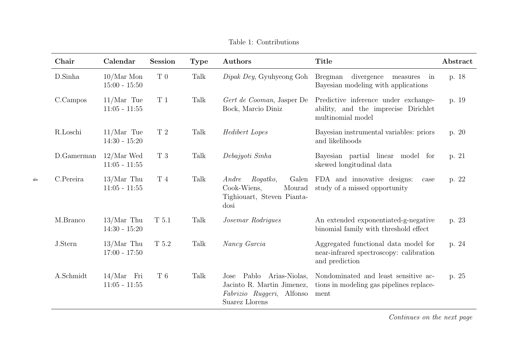| Chair      | Calendar                        | <b>Session</b>  | <b>Type</b> | Authors                                                                                               | <b>Title</b>                                                                                      | Abstract |
|------------|---------------------------------|-----------------|-------------|-------------------------------------------------------------------------------------------------------|---------------------------------------------------------------------------------------------------|----------|
| D.Sinha    | $10/Mar$ Mon<br>$15:00 - 15:50$ | $\mathcal{T}$ 0 | Talk        | Dipak Dey, Gyuhyeong Goh                                                                              | <b>Bregman</b><br>divergence<br>measures<br>in<br>Bayesian modeling with applications             | p. 18    |
| C.Campos   | $11/Mar$ Tue<br>$11:05 - 11:55$ | T <sub>1</sub>  | Talk        | Gert de Cooman, Jasper De<br>Bock, Marcio Diniz                                                       | Predictive inference under exchange-<br>ability, and the imprecise Dirichlet<br>multinomial model | p. 19    |
| R.Loschi   | $11/Mar$ Tue<br>$14:30 - 15:20$ | $\mathcal{T}$ 2 | Talk        | Hedibert Lopes                                                                                        | Bayesian instrumental variables: priors<br>and likelihoods                                        | p. 20    |
| D.Gamerman | $12/Mar$ Wed<br>$11:05 - 11:55$ | $\mathcal T$ 3  | Talk        | Debajyoti Sinha                                                                                       | Bayesian partial linear model for<br>skewed longitudinal data                                     | p. 21    |
| C.Pereira  | $13/Mar$ Thu<br>$11:05 - 11:55$ | $\rm T$ 4       | Talk        | Galen<br>Rogatko,<br>Andre<br>Cook-Wiens,<br>Mourad<br>Tighiouart, Steven Pianta-<br>dosi             | FDA and innovative designs:<br>case<br>study of a missed opportunity                              | p. 22    |
| M.Branco   | $13/Mar$ Thu<br>$14:30 - 15:20$ | T 5.1           | Talk        | Josemar Rodrigues                                                                                     | An extended exponentiated-g-negative<br>binomial family with threshold effect                     | p. 23    |
| J.Stern    | $13/Mar$ Thu<br>$17:00 - 17:50$ | T 5.2           | Talk        | Nancy Garcia                                                                                          | Aggregated functional data model for<br>near-infrared spectroscopy: calibration<br>and prediction | p. 24    |
| A.Schmidt  | $14/Mar$ Fri<br>$11:05 - 11:55$ | $\mathcal T$ 6  | Talk        | Jose Pablo Arias-Niolas,<br>Jacinto R. Martin Jimenez,<br>Fabrizio Ruggeri, Alfonso<br>Suarez Llorens | Nondominated and least sensitive ac-<br>tions in modeling gas pipelines replace-<br>ment          | p. 25    |

 $\Rightarrow$ 

Table 1: Contributions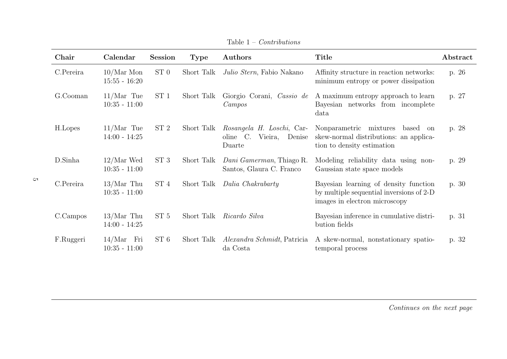| Chair     | Calendar                         | <b>Session</b>  | <b>Type</b> | Authors                                                              | Title                                                                                                              | Abstract |
|-----------|----------------------------------|-----------------|-------------|----------------------------------------------------------------------|--------------------------------------------------------------------------------------------------------------------|----------|
| C.Pereira | $10/Mar$ Mon<br>$15:55 - 16:20$  | ST <sub>0</sub> | Short Talk  | Julio Stern, Fabio Nakano                                            | Affinity structure in reaction networks:<br>minimum entropy or power dissipation                                   | p. 26    |
| G.Cooman  | $11/Mar$ Tue<br>$10:35 - 11:00$  | ST <sub>1</sub> | Short Talk  | Giorgio Corani, Cassio de<br>Campos                                  | A maximum entropy approach to learn<br>Bayesian networks from incomplete<br>data                                   | p. 27    |
| H.Lopes   | $11/Mar$ Tue<br>$14:00 - 14:25$  | ST <sub>2</sub> | Short Talk  | Rosangela H. Loschi, Car-<br>oline C.<br>Vieira,<br>Denise<br>Duarte | Nonparametric mixtures<br>based<br>on<br>skew-normal distributions: an applica-<br>tion to density estimation      | p. 28    |
| D.Sinha   | $12/Mar$ Wed<br>$10:35 - 11:00$  | ST <sub>3</sub> | Short Talk  | Dani Gamerman, Thiago R.<br>Santos, Glaura C. Franco                 | Modeling reliability data using non-<br>Gaussian state space models                                                | p. 29    |
| C.Pereira | $13/Mar$ Thu<br>$10:35 - 11:00$  | ST <sub>4</sub> | Short Talk  | Dalia Chakrabarty                                                    | Bayesian learning of density function<br>by multiple sequential inversions of 2-D<br>images in electron microscopy | p. 30    |
| C.Campos  | $13/Mar$ Thu<br>$14:00 - 14:25$  | ST 5            | Short Talk  | Ricardo Silva                                                        | Bayesian inference in cumulative distri-<br>bution fields                                                          | p. 31    |
| F.Ruggeri | 14/Mar<br>Fri<br>$10:35 - 11:00$ | ST 6            | Short Talk  | <i>Alexandra Schmidt</i> , Patricia<br>da Costa                      | A skew-normal, nonstationary spatio-<br>temporal process                                                           | p. 32    |

Table 1 – Contributions

 $\mathfrak{S}$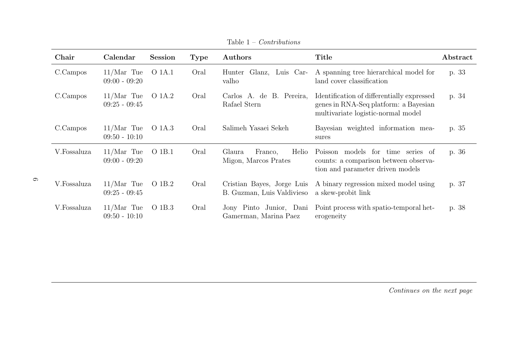| Chair       | Calendar                        | <b>Session</b> | <b>Type</b> | Authors                                                  | Title                                                                                                                     | Abstract |
|-------------|---------------------------------|----------------|-------------|----------------------------------------------------------|---------------------------------------------------------------------------------------------------------------------------|----------|
| C.Campos    | $11/Mar$ Tue<br>$09:00 - 09:20$ | O 1A.1         | Oral        | Glanz, Luis Car-<br>Hunter<br>valho                      | A spanning tree hierarchical model for<br>land cover classification                                                       | p. 33    |
| C.Campos    | $11/Mar$ Tue<br>$09:25 - 09:45$ | O 1A.2         | Oral        | Carlos A. de B. Pereira,<br>Rafael Stern                 | Identification of differentially expressed<br>genes in RNA-Seq platform: a Bayesian<br>multivariate logistic-normal model | p. 34    |
| C.Campos    | $11/Mar$ Tue<br>$09:50 - 10:10$ | O 1A.3         | Oral        | Salimeh Yasaei Sekeh                                     | Bayesian weighted information mea-<br>sures                                                                               | p. 35    |
| V.Fossaluza | $11/Mar$ Tue<br>$09:00 - 09:20$ | O 1B.1         | Oral        | Helio<br>Glaura<br>Franco,<br>Migon, Marcos Prates       | Poisson models for time series of<br>counts: a comparison between observa-<br>tion and parameter driven models            | p. 36    |
| V.Fossaluza | $11/Mar$ Tue<br>$09:25 - 09:45$ | O 1B.2         | Oral        | Cristian Bayes, Jorge Luis<br>B. Guzman, Luis Valdivieso | A binary regression mixed model using<br>a skew-probit link                                                               | p. 37    |
| V.Fossaluza | $11/Mar$ Tue<br>$09:50 - 10:10$ | O 1B.3         | Oral        | Jony Pinto Junior, Dani<br>Gamerman, Marina Paez         | Point process with spatio-temporal het-<br>erogeneity                                                                     | p. 38    |

Table 1 – Contributions

 $\circ$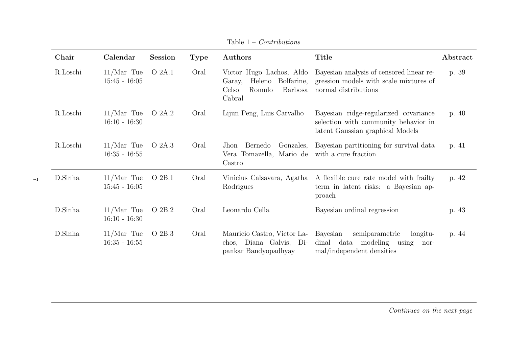| Chair    | Calendar                        | <b>Session</b> | <b>Type</b> | Authors                                                                                            | Title                                                                                                             | Abstract |
|----------|---------------------------------|----------------|-------------|----------------------------------------------------------------------------------------------------|-------------------------------------------------------------------------------------------------------------------|----------|
| R.Loschi | $11/Mar$ Tue<br>$15:45 - 16:05$ | O 2A.1         | Oral        | Victor Hugo Lachos, Aldo<br>Bolfarine,<br>Heleno<br>Garay,<br>Barbosa<br>Celso<br>Romulo<br>Cabral | Bayesian analysis of censored linear re-<br>gression models with scale mixtures of<br>normal distributions        | p. 39    |
| R.Loschi | $11/Mar$ Tue<br>$16:10 - 16:30$ | O 2A.2         | Oral        | Lijun Peng, Luis Carvalho                                                                          | Bayesian ridge-regularized covariance<br>selection with community behavior in<br>latent Gaussian graphical Models | p. 40    |
| R.Loschi | $11/Mar$ Tue<br>$16:35 - 16:55$ | O 2A.3         | Oral        | Jhon Bernedo<br>Gonzales,<br>Vera Tomazella, Mario de<br>Castro                                    | Bayesian partitioning for survival data<br>with a cure fraction                                                   | p. 41    |
| D.Sinha  | $11/Mar$ Tue<br>$15:45 - 16:05$ | O 2B.1         | Oral        | Vinicius Calsavara, Agatha<br>Rodrigues                                                            | A flexible cure rate model with frailty<br>term in latent risks: a Bayesian ap-<br>proach                         | p. 42    |
| D.Sinha  | $11/Mar$ Tue<br>$16:10 - 16:30$ | O 2B.2         | Oral        | Leonardo Cella                                                                                     | Bayesian ordinal regression                                                                                       | p. 43    |
| D.Sinha  | $11/Mar$ Tue<br>$16:35 - 16:55$ | O 2B.3         | Oral        | Mauricio Castro, Victor La-<br>chos, Diana Galvis, Di-<br>pankar Bandyopadhyay                     | Bayesian<br>semiparametric<br>longitu-<br>dinal data modeling using<br>nor-<br>mal/independent densities          | p. 44    |

 $\overline{\phantom{0}}$ 

Table 1 – Contributions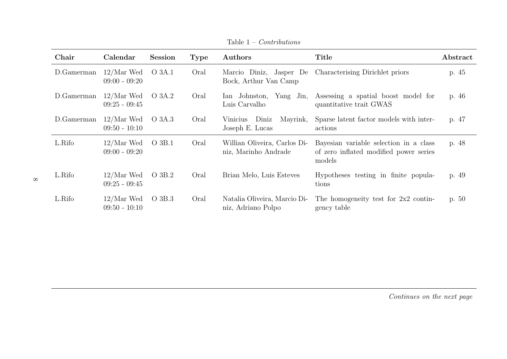| Chair      | Calendar                        | <b>Session</b> | <b>Type</b> | Authors                                              | Title                                                                                      | Abstract |
|------------|---------------------------------|----------------|-------------|------------------------------------------------------|--------------------------------------------------------------------------------------------|----------|
| D.Gamerman | $12/Mar$ Wed<br>$09:00 - 09:20$ | O 3A.1         | Oral        | Bock, Arthur Van Camp                                | Marcio Diniz, Jasper De Characterising Dirichlet priors                                    | p. 45    |
| D.Gamerman | $12/Mar$ Wed<br>$09:25 - 09:45$ | O 3A.2         | Oral        | Ian Johnston, Yang Jin,<br>Luis Carvalho             | Assessing a spatial boost model for<br>quantitative trait GWAS                             | p. 46    |
| D.Gamerman | $12/Mar$ Wed<br>$09:50 - 10:10$ | O 3A.3         | Oral        | Mayrink,<br>Diniz<br>Vinicius<br>Joseph E. Lucas     | Sparse latent factor models with inter-<br>actions                                         | p. 47    |
| L.Rifo     | $12/Mar$ Wed<br>$09:00 - 09:20$ | $O_3B.1$       | Oral        | Willian Oliveira, Carlos Di-<br>niz, Marinho Andrade | Bayesian variable selection in a class<br>of zero inflated modified power series<br>models | p. 48    |
| L.Rifo     | $12/Mar$ Wed<br>$09:25 - 09:45$ | O 3B.2         | Oral        | Brian Melo, Luis Esteves                             | Hypotheses testing in finite popula-<br>tions                                              | p. 49    |
| L.Rifo     | $12/Mar$ Wed<br>$09:50 - 10:10$ | O 3B.3         | Oral        | Natalia Oliveira, Marcio Di-<br>niz, Adriano Polpo   | The homogeneity test for $2x^2$ contin-<br>gency table                                     | p. 50    |

Table 1 – Contributions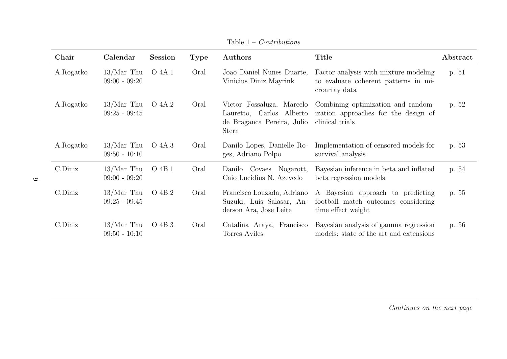| Chair      | Calendar                        | <b>Session</b> | <b>Type</b> | Authors                                                                                             | <b>Title</b>                                                                                   | Abstract |
|------------|---------------------------------|----------------|-------------|-----------------------------------------------------------------------------------------------------|------------------------------------------------------------------------------------------------|----------|
| A.Rogatko  | $13/Mar$ Thu<br>$09:00 - 09:20$ | O 4A.1         | Oral        | Joao Daniel Nunes Duarte,<br>Vinicius Diniz Mayrink                                                 | Factor analysis with mixture modeling<br>to evaluate coherent patterns in mi-<br>croarray data | p. 51    |
| A.Rogatko  | $13/Mar$ Thu<br>$09:25 - 09:45$ | O 4A.2         | Oral        | Victor Fossaluza, Marcelo<br>Lauretto, Carlos Alberto<br>de Braganca Pereira, Julio<br><b>Stern</b> | Combining optimization and random-<br>ization approaches for the design of<br>clinical trials  | p. 52    |
| A.Rogatko  | $13/Mar$ Thu<br>$09:50 - 10:10$ | O 4A.3         | Oral        | Danilo Lopes, Danielle Ro-<br>ges, Adriano Polpo                                                    | Implementation of censored models for<br>survival analysis                                     | p. 53    |
| $C.D$ iniz | $13/Mar$ Thu<br>$09:00 - 09:20$ | O 4B.1         | Oral        | Danilo Covaes Nogarott,<br>Caio Lucidius N. Azevedo                                                 | Bayesian inference in beta and inflated<br>beta regression models                              | p. 54    |
| $C.D$ iniz | $13/Mar$ Thu<br>$09:25 - 09:45$ | O 4B.2         | Oral        | Francisco Louzada, Adriano<br>Suzuki, Luis Salasar, An-<br>derson Ara, Jose Leite                   | A Bayesian approach to predicting<br>football match outcomes considering<br>time effect weight | p. 55    |
| C.Diniz    | $13/Mar$ Thu<br>$09:50 - 10:10$ | O 4B.3         | Oral        | Catalina Araya, Francisco<br>Torres Aviles                                                          | Bayesian analysis of gamma regression<br>models: state of the art and extensions               | p. 56    |

Table 1 – Contributions

 $\circ$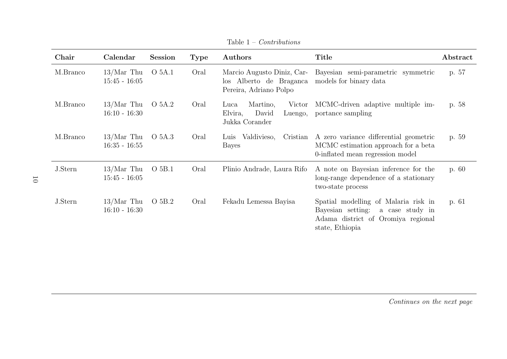| Chair    | Calendar                        | <b>Session</b>    | <b>Type</b> | Authors                                                                         | <b>Title</b>                                                                                                                          | Abstract |
|----------|---------------------------------|-------------------|-------------|---------------------------------------------------------------------------------|---------------------------------------------------------------------------------------------------------------------------------------|----------|
| M.Branco | $13/Mar$ Thu<br>$15:45 - 16:05$ | O 5A.1            | Oral        | Marcio Augusto Diniz, Car-<br>los Alberto de Braganca<br>Pereira, Adriano Polpo | Bayesian semi-parametric symmetric<br>models for binary data                                                                          | p. 57    |
| M.Branco | $13/Mar$ Thu<br>$16:10 - 16:30$ | O 5A.2            | Oral        | Martino,<br>Victor<br>Luca<br>David<br>Elvira,<br>Luengo,<br>Jukka Corander     | MCMC-driven adaptive multiple im-<br>portance sampling                                                                                | p. 58    |
| M.Branco | $13/Mar$ Thu<br>$16:35 - 16:55$ | O 5A.3            | Oral        | Luis Valdivieso,<br>Bayes                                                       | Cristian A zero variance differential geometric<br>MCMC estimation approach for a beta<br>0-inflated mean regression model            | p. 59    |
| J.Stern  | $13/Mar$ Thu<br>$15:45 - 16:05$ | O <sub>5B.1</sub> | Oral        | Plinio Andrade, Laura Rifo                                                      | A note on Bayesian inference for the<br>long-range dependence of a stationary<br>two-state process                                    | p. 60    |
| J.Stern  | $13/Mar$ Thu<br>$16:10 - 16:30$ | O 5B.2            | Oral        | Fekadu Lemessa Bayisa                                                           | Spatial modelling of Malaria risk in<br>Bayesian setting:<br>a case study in<br>Adama district of Oromiya regional<br>state, Ethiopia | p. 61    |

Table 1 – Contributions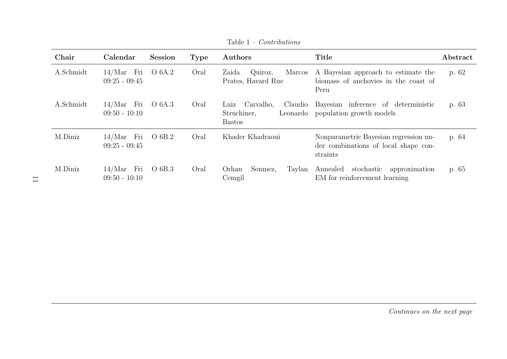| Chair     | Calendar                        | <b>Session</b> | <b>Type</b> | Authors                                                   | Title                                                                                     | Abstract |
|-----------|---------------------------------|----------------|-------------|-----------------------------------------------------------|-------------------------------------------------------------------------------------------|----------|
| A.Schmidt | $14/Mar$ Fri<br>$09:25 - 09:45$ | O 6A.2         | Oral        | Quiroz,<br>Marcos<br>Zaida<br>Prates, Havard Rue          | A Bayesian approach to estimate the<br>biomass of anchovies in the coast of<br>Peru       | p. 62    |
| A.Schmidt | $14/Mar$ Fri<br>$09:50 - 10:10$ | O 6A.3         | Oral        | Claudio<br>Luiz Carvalho,<br>Struchiner,<br><b>Bastos</b> | Bayesian inference of deterministic<br>Leonardo population growth models                  | p. 63    |
| M.Diniz   | $14/Mar$ Fri<br>$09:25 - 09:45$ | O 6B.2         | Oral        | Khader Khadraoui                                          | Nonparametric Bayesian regression un-<br>der combinations of local shape con-<br>straints | p. 64    |
| M.Diniz   | $14/Mar$ Fri<br>$09:50 - 10:10$ | O 6B.3         | Oral        | Orhan<br>Sonmez,<br>Taylan<br>Cemgil                      | Annealed stochastic approximation<br>EM for reinforcement learning                        | p. 65    |

Table 1 – Contributions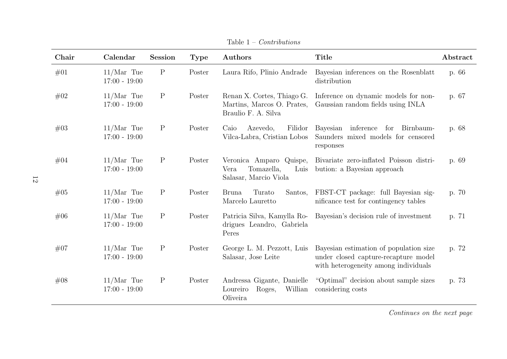| Chair | Calendar                        | <b>Session</b> | <b>Type</b> | Authors                                                                         | <b>Title</b>                                                                                                           | Abstract |
|-------|---------------------------------|----------------|-------------|---------------------------------------------------------------------------------|------------------------------------------------------------------------------------------------------------------------|----------|
| #01   | $11/Mar$ Tue<br>$17:00 - 19:00$ | $\rm P$        | Poster      | Laura Rifo, Plinio Andrade                                                      | Bayesian inferences on the Rosenblatt<br>distribution                                                                  | p. 66    |
| #02   | $11/Mar$ Tue<br>$17:00 - 19:00$ | $\mathbf P$    | Poster      | Renan X. Cortes, Thiago G.<br>Martins, Marcos O. Prates,<br>Braulio F. A. Silva | Inference on dynamic models for non-<br>Gaussian random fields using INLA                                              | p. 67    |
| #03   | $11/Mar$ Tue<br>$17:00 - 19:00$ | $\mathbf P$    | Poster      | Caio<br>Filidor<br>Azevedo,<br>Vilca-Labra, Cristian Lobos                      | Bayesian inference for Birnbaum-<br>Saunders mixed models for censored<br>responses                                    | p. 68    |
| #04   | $11/Mar$ Tue<br>$17:00 - 19:00$ | $\mathbf P$    | Poster      | Veronica Amparo Quispe,<br>Tomazella,<br>Vera<br>Luis<br>Salasar, Marcio Viola  | Bivariate zero-inflated Poisson distri-<br>bution: a Bayesian approach                                                 | p. 69    |
| #05   | $11/Mar$ Tue<br>$17:00 - 19:00$ | $\mathbf P$    | Poster      | Turato<br><b>Bruna</b><br>Santos,<br>Marcelo Lauretto                           | FBST-CT package: full Bayesian sig-<br>nificance test for contingency tables                                           | p. 70    |
| #06   | $11/Mar$ Tue<br>$17:00 - 19:00$ | $\mathbf P$    | Poster      | Patricia Silva, Kamylla Ro-<br>drigues Leandro, Gabriela<br>Peres               | Bayesian's decision rule of investment                                                                                 | p. 71    |
| #07   | $11/Mar$ Tue<br>$17:00 - 19:00$ | $\mathbf P$    | Poster      | George L. M. Pezzott, Luis<br>Salasar, Jose Leite                               | Bayesian estimation of population size<br>under closed capture-recapture model<br>with heterogeneity among individuals | p. 72    |
| #08   | $11/Mar$ Tue<br>$17:00 - 19:00$ | $\mathbf P$    | Poster      | Andressa Gigante, Danielle<br>Loureiro<br>Willian<br>Roges,<br>Oliveira         | "Optimal" decision about sample sizes<br>considering costs                                                             | p. 73    |

Table 1 – Contributions

12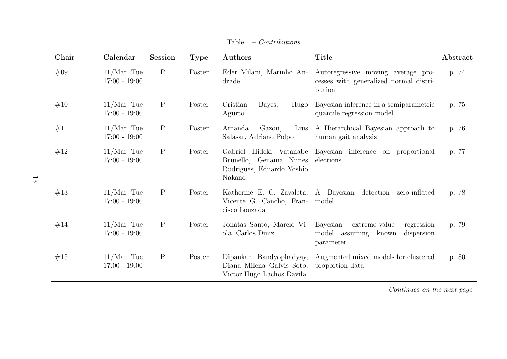| Chair | Calendar                        | <b>Session</b> | <b>Type</b> | Authors                                                                           | <b>Title</b>                                                                               | Abstract |
|-------|---------------------------------|----------------|-------------|-----------------------------------------------------------------------------------|--------------------------------------------------------------------------------------------|----------|
| #09   | $11/Mar$ Tue<br>$17:00 - 19:00$ | $\mathbf P$    | Poster      | Eder Milani, Marinho An-<br>drade                                                 | Autoregressive moving average pro-<br>cesses with generalized normal distri-<br>bution     | p. 74    |
| #10   | $11/Mar$ Tue<br>$17:00 - 19:00$ | $\mathbf P$    | Poster      | Cristian<br>Bayes,<br>Hugo<br>Agurto                                              | Bayesian inference in a semiparametric<br>quantile regression model                        | p. 75    |
| #11   | $11/Mar$ Tue<br>$17:00 - 19:00$ | $\mathbf P$    | Poster      | Amanda<br>Gazon,<br>Luis<br>Salasar, Adriano Polpo                                | A Hierarchical Bayesian approach to<br>human gait analysis                                 | p. 76    |
| #12   | $11/Mar$ Tue<br>$17:00 - 19:00$ | $\mathbf P$    | Poster      | Genaina Nunes<br>Brunello,<br>Rodrigues, Eduardo Yoshio<br>Nakano                 | Gabriel Hideki Vatanabe Bayesian inference on proportional<br>elections                    | p. 77    |
| #13   | $11/Mar$ Tue<br>$17:00 - 19:00$ | $\mathbf P$    | Poster      | Vicente G. Cancho, Fran-<br>cisco Louzada                                         | Katherine E. C. Zavaleta, A. Bayesian detection zero-inflated<br>model                     | p. 78    |
| #14   | $11/Mar$ Tue<br>$17:00 - 19:00$ | $\mathbf P$    | Poster      | Jonatas Santo, Marcio Vi-<br>ola, Carlos Diniz                                    | Bayesian<br>extreme-value<br>regression<br>model assuming known<br>dispersion<br>parameter | p. 79    |
| #15   | $11/Mar$ Tue<br>$17:00 - 19:00$ | $\mathbf P$    | Poster      | Dipankar Bandyophadyay,<br>Diana Milena Galvis Soto,<br>Victor Hugo Lachos Davila | Augmented mixed models for clustered<br>proportion data                                    | p. 80    |

Table 1 – Contributions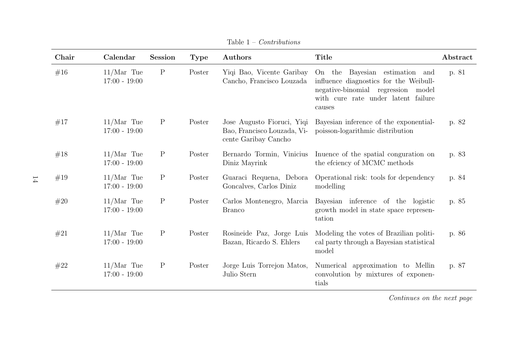| Chair | Calendar                        | <b>Session</b> | <b>Type</b> | Authors                                                                           | <b>Title</b>                                                                                                                                                       | Abstract |
|-------|---------------------------------|----------------|-------------|-----------------------------------------------------------------------------------|--------------------------------------------------------------------------------------------------------------------------------------------------------------------|----------|
| #16   | $11/Mar$ Tue<br>$17:00 - 19:00$ | $\mathbf P$    | Poster      | Yiqi Bao, Vicente Garibay<br>Cancho, Francisco Louzada                            | On the Bayesian estimation and<br>influence diagnostics for the Weibull-<br>negative-binomial regression<br>model<br>with cure rate under latent failure<br>causes | p. 81    |
| #17   | $11/Mar$ Tue<br>$17:00 - 19:00$ | $\mathbf P$    | Poster      | Jose Augusto Fioruci, Yiqi<br>Bao, Francisco Louzada, Vi-<br>cente Garibay Cancho | Bayesian inference of the exponential-<br>poisson-logarithmic distribution                                                                                         | p. 82    |
| #18   | $11/Mar$ Tue<br>$17:00 - 19:00$ | $\mathbf P$    | Poster      | Bernardo Tormin, Vinicius<br>Diniz Mayrink                                        | Interior of the spatial conguration on<br>the efciency of MCMC methods                                                                                             | p. 83    |
| #19   | $11/Mar$ Tue<br>$17:00 - 19:00$ | $\mathbf P$    | Poster      | Guaraci Requena, Debora<br>Goncalves, Carlos Diniz                                | Operational risk: tools for dependency<br>modelling                                                                                                                | p. 84    |
| #20   | $11/Mar$ Tue<br>$17:00 - 19:00$ | $\mathbf{P}$   | Poster      | Carlos Montenegro, Marcia<br><b>Branco</b>                                        | Bayesian inference of the logistic<br>growth model in state space represen-<br>tation                                                                              | p. 85    |
| #21   | $11/Mar$ Tue<br>$17:00 - 19:00$ | $\mathbf P$    | Poster      | Rosineide Paz, Jorge Luis<br>Bazan, Ricardo S. Ehlers                             | Modeling the votes of Brazilian politi-<br>cal party through a Bayesian statistical<br>model                                                                       | p. 86    |
| #22   | $11/Mar$ Tue<br>$17:00 - 19:00$ | $\mathbf{P}$   | Poster      | Jorge Luis Torrejon Matos,<br>Julio Stern                                         | Numerical approximation to Mellin<br>convolution by mixtures of exponen-<br>tials                                                                                  | p. 87    |

Table 1 – Contributions

14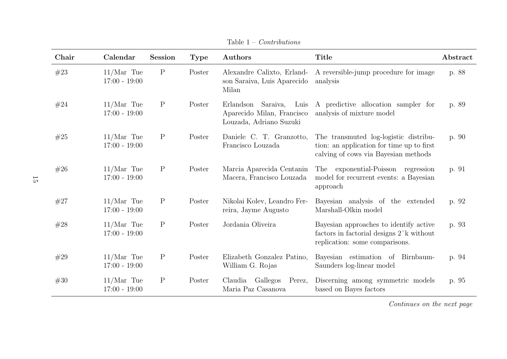| Chair | Calendar                        | <b>Session</b> | <b>Type</b> | Authors                                                                          | <b>Title</b>                                                                                                                    | Abstract |
|-------|---------------------------------|----------------|-------------|----------------------------------------------------------------------------------|---------------------------------------------------------------------------------------------------------------------------------|----------|
| #23   | $11/Mar$ Tue<br>$17:00 - 19:00$ | $\mathbf P$    | Poster      | Alexandre Calixto, Erland-<br>son Saraiva, Luis Aparecido<br>Milan               | A reversible-jump procedure for image<br>analysis                                                                               | p. 88    |
| #24   | $11/Mar$ Tue<br>$17:00 - 19:00$ | $\mathbf P$    | Poster      | Erlandson Saraiva, Luis<br>Aparecido Milan, Francisco<br>Louzada, Adriano Suzuki | A predictive allocation sampler for<br>analysis of mixture model                                                                | p. 89    |
| #25   | $11/Mar$ Tue<br>$17:00 - 19:00$ | $\mathbf P$    | Poster      | Daniele C. T. Granzotto,<br>Francisco Louzada                                    | The transmuted log-logistic distribu-<br>tion: an application for time up to first<br>calving of cows via Bayesian methods      | p. 90    |
| #26   | $11/Mar$ Tue<br>$17:00 - 19:00$ | $\mathbf P$    | Poster      | Marcia Aparecida Centanin<br>Macera, Francisco Louzada                           | The exponential-Poisson regression<br>model for recurrent events: a Bayesian<br>approach                                        | p. 91    |
| #27   | $11/Mar$ Tue<br>$17:00 - 19:00$ | $\mathbf P$    | Poster      | Nikolai Kolev, Leandro Fer-<br>reira, Jayme Augusto                              | Bayesian analysis of the extended<br>Marshall-Olkin model                                                                       | p. 92    |
| #28   | $11/Mar$ Tue<br>$17:00 - 19:00$ | $\mathbf P$    | Poster      | Jordania Oliveira                                                                | Bayesian approaches to identify active<br>factors in factorial designs 2 <sup>k</sup> without<br>replication: some comparisons. | p. 93    |
| #29   | $11/Mar$ Tue<br>$17:00 - 19:00$ | $\mathbf P$    | Poster      | Elizabeth Gonzalez Patino,<br>William G. Rojas                                   | Bayesian estimation of Birnbaum-<br>Saunders log-linear model                                                                   | p. 94    |
| #30   | $11/Mar$ Tue<br>$17:00 - 19:00$ | $\mathbf P$    | Poster      | Claudia<br>Gallegos<br>Perez,<br>Maria Paz Casanova                              | Discerning among symmetric models<br>based on Bayes factors                                                                     | p. 95    |

Table 1 – Contributions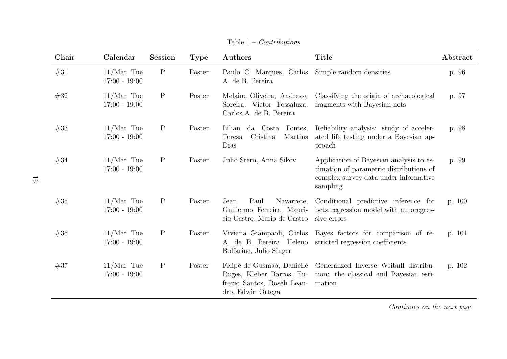| Chair | Calendar                        | <b>Session</b> | <b>Type</b> | Authors                                                                                                     | <b>Title</b>                                                                                                                            | Abstract |
|-------|---------------------------------|----------------|-------------|-------------------------------------------------------------------------------------------------------------|-----------------------------------------------------------------------------------------------------------------------------------------|----------|
| #31   | $11/Mar$ Tue<br>$17:00 - 19:00$ | $\mathbf P$    | Poster      | Paulo C. Marques, Carlos<br>A. de B. Pereira                                                                | Simple random densities                                                                                                                 | p. 96    |
| #32   | $11/Mar$ Tue<br>$17:00 - 19:00$ | $\mathbf P$    | Poster      | Melaine Oliveira, Andressa<br>Soreira, Victor Fossaluza,<br>Carlos A. de B. Pereira                         | Classifying the origin of archaeological<br>fragments with Bayesian nets                                                                | p. 97    |
| #33   | $11/Mar$ Tue<br>$17:00 - 19:00$ | $\mathbf P$    | Poster      | Lilian<br>da Costa Fontes,<br>Cristina<br>Martins<br>Teresa<br>Dias                                         | Reliability analysis: study of acceler-<br>ated life testing under a Bayesian ap-<br>proach                                             | p. 98    |
| #34   | $11/Mar$ Tue<br>$17:00 - 19:00$ | $\mathbf P$    | Poster      | Julio Stern, Anna Sikov                                                                                     | Application of Bayesian analysis to es-<br>timation of parametric distributions of<br>complex survey data under informative<br>sampling | p. 99    |
| #35   | $11/Mar$ Tue<br>$17:00 - 19:00$ | $\mathbf P$    | Poster      | Paul<br>Navarrete,<br>Jean<br>Guillermo Ferreira, Mauri-<br>cio Castro, Mario de Castro                     | Conditional predictive inference for<br>beta regression model with autoregres-<br>sive errors                                           | p. 100   |
| #36   | $11/Mar$ Tue<br>$17:00 - 19:00$ | $\mathbf P$    | Poster      | Viviana Giampaoli, Carlos<br>A. de B. Pereira, Heleno<br>Bolfarine, Julio Singer                            | Bayes factors for comparison of re-<br>stricted regression coefficients                                                                 | p. 101   |
| #37   | $11/Mar$ Tue<br>$17:00 - 19:00$ | $\mathbf P$    | Poster      | Felipe de Gusmao, Danielle<br>Roges, Kleber Barros, Eu-<br>frazio Santos, Roseli Lean-<br>dro, Edwin Ortega | Generalized Inverse Weibull distribu-<br>tion: the classical and Bayesian esti-<br>mation                                               | p. 102   |

Table 1 – Contributions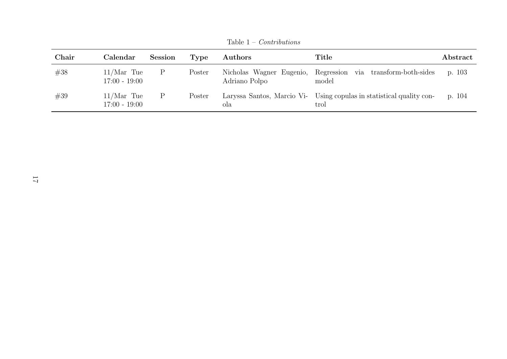| Chair | Calendar                        | <b>Session</b> | Type   | <b>Authors</b> | Title                                                                        | ${\rm Abstract}$ |
|-------|---------------------------------|----------------|--------|----------------|------------------------------------------------------------------------------|------------------|
| #38   | $11/Mar$ Tue<br>$17:00 - 19:00$ |                | Poster | Adriano Polpo  | Nicholas Wagner Eugenio, Regression via transform-both-sides<br>model        | p. 103           |
| #39   | $11/Mar$ Tue<br>$17:00 - 19:00$ | $\mathbf{P}$   | Poster | ola            | Laryssa Santos, Marcio Vi- Using copulas in statistical quality con-<br>trol | p. 104           |

Table 1 – Contributions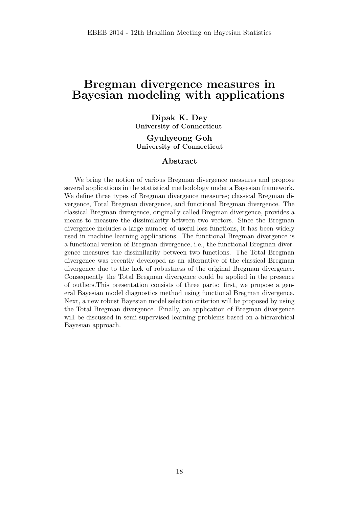### Bregman divergence measures in Bayesian modeling with applications

#### Dipak K. Dey University of Connecticut

Gyuhyeong Goh University of Connecticut

#### Abstract

We bring the notion of various Bregman divergence measures and propose several applications in the statistical methodology under a Bayesian framework. We define three types of Bregman divergence measures; classical Bregman divergence, Total Bregman divergence, and functional Bregman divergence. The classical Bregman divergence, originally called Bregman divergence, provides a means to measure the dissimilarity between two vectors. Since the Bregman divergence includes a large number of useful loss functions, it has been widely used in machine learning applications. The functional Bregman divergence is a functional version of Bregman divergence, i.e., the functional Bregman divergence measures the dissimilarity between two functions. The Total Bregman divergence was recently developed as an alternative of the classical Bregman divergence due to the lack of robustness of the original Bregman divergence. Consequently the Total Bregman divergence could be applied in the presence of outliers.This presentation consists of three parts: first, we propose a general Bayesian model diagnostics method using functional Bregman divergence. Next, a new robust Bayesian model selection criterion will be proposed by using the Total Bregman divergence. Finally, an application of Bregman divergence will be discussed in semi-supervised learning problems based on a hierarchical Bayesian approach.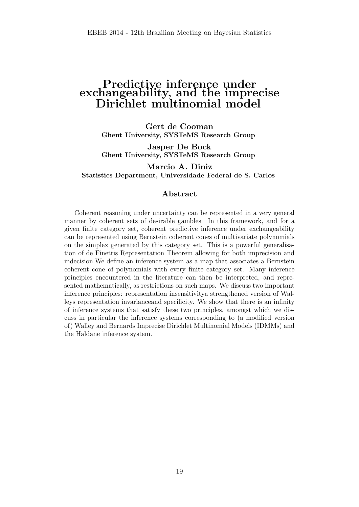### Predictive inference under exchangeability, and the imprecise Dirichlet multinomial model

Gert de Cooman Ghent University, SYSTeMS Research Group

Jasper De Bock Ghent University, SYSTeMS Research Group

Marcio A. Diniz Statistics Department, Universidade Federal de S. Carlos

#### Abstract

Coherent reasoning under uncertainty can be represented in a very general manner by coherent sets of desirable gambles. In this framework, and for a given finite category set, coherent predictive inference under exchangeability can be represented using Bernstein coherent cones of multivariate polynomials on the simplex generated by this category set. This is a powerful generalisation of de Finettis Representation Theorem allowing for both imprecision and indecision.We define an inference system as a map that associates a Bernstein coherent cone of polynomials with every finite category set. Many inference principles encountered in the literature can then be interpreted, and represented mathematically, as restrictions on such maps. We discuss two important inference principles: representation insensitivitya strengthened version of Walleys representation invarianceand specificity. We show that there is an infinity of inference systems that satisfy these two principles, amongst which we discuss in particular the inference systems corresponding to (a modified version of) Walley and Bernards Imprecise Dirichlet Multinomial Models (IDMMs) and the Haldane inference system.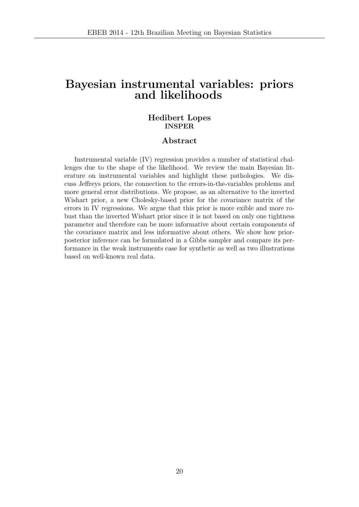### Bayesian instrumental variables: priors and likelihoods

#### Hedibert Lopes INSPER

#### Abstract

Instrumental variable (IV) regression provides a number of statistical challenges due to the shape of the likelihood. We review the main Bayesian literature on instrumental variables and highlight these pathologies. We discuss Jeffreys priors, the connection to the errors-in-the-variables problems and more general error distributions. We propose, as an alternative to the inverted Wishart prior, a new Cholesky-based prior for the covariance matrix of the errors in IV regressions. We argue that this prior is more exible and more robust than the inverted Wishart prior since it is not based on only one tightness parameter and therefore can be more informative about certain components of the covariance matrix and less informative about others. We show how priorposterior inference can be formulated in a Gibbs sampler and compare its performance in the weak instruments case for synthetic as well as two illustrations based on well-known real data.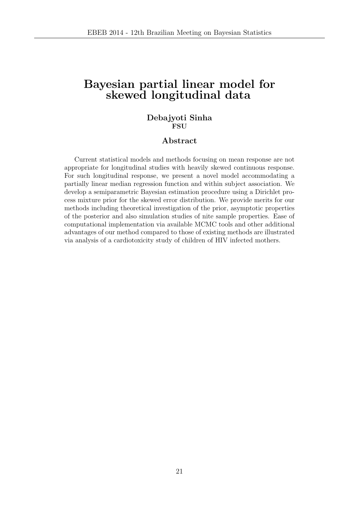### Bayesian partial linear model for skewed longitudinal data

#### Debajyoti Sinha **FSU**

#### Abstract

Current statistical models and methods focusing on mean response are not appropriate for longitudinal studies with heavily skewed continuous response. For such longitudinal response, we present a novel model accommodating a partially linear median regression function and within subject association. We develop a semiparametric Bayesian estimation procedure using a Dirichlet process mixture prior for the skewed error distribution. We provide merits for our methods including theoretical investigation of the prior, asymptotic properties of the posterior and also simulation studies of nite sample properties. Ease of computational implementation via available MCMC tools and other additional advantages of our method compared to those of existing methods are illustrated via analysis of a cardiotoxicity study of children of HIV infected mothers.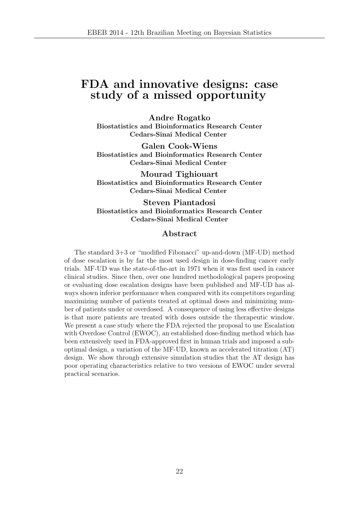### FDA and innovative designs: case study of a missed opportunity

Andre Rogatko Biostatistics and Bioinformatics Research Center Cedars-Sinai Medical Center

Galen Cook-Wiens Biostatistics and Bioinformatics Research Center Cedars-Sinai Medical Center

Mourad Tighiouart Biostatistics and Bioinformatics Research Center Cedars-Sinai Medical Center

Steven Piantadosi Biostatistics and Bioinformatics Research Center Cedars-Sinai Medical Center

#### Abstract

The standard 3+3 or "modified Fibonacci" up-and-down (MF-UD) method of dose escalation is by far the most used design in dose-finding cancer early trials. MF-UD was the state-of-the-art in 1971 when it was first used in cancer clinical studies. Since then, over one hundred methodological papers proposing or evaluating dose escalation designs have been published and MF-UD has always shown inferior performance when compared with its competitors regarding maximizing number of patients treated at optimal doses and minimizing number of patients under or overdosed. A consequence of using less effective designs is that more patients are treated with doses outside the therapeutic window. We present a case study where the FDA rejected the proposal to use Escalation with Overdose Control (EWOC), an established dose-finding method which has been extensively used in FDA-approved first in human trials and imposed a suboptimal design, a variation of the MF-UD, known as accelerated titration (AT) design. We show through extensive simulation studies that the AT design has poor operating characteristics relative to two versions of EWOC under several practical scenarios.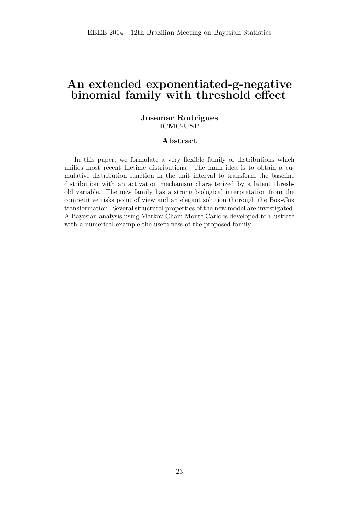### An extended exponentiated-g-negative binomial family with threshold effect

#### Josemar Rodrigues ICMC-USP

#### Abstract

In this paper, we formulate a very flexible family of distributions which unifies most recent lifetime distributions. The main idea is to obtain a cumulative distribution function in the unit interval to transform the baseline distribution with an activation mechanism characterized by a latent threshold variable. The new family has a strong biological interpretation from the competitive risks point of view and an elegant solution thorough the Box-Cox transformation. Several structural properties of the new model are investigated. A Bayesian analysis using Markov Chain Monte Carlo is developed to illustrate with a numerical example the usefulness of the proposed family.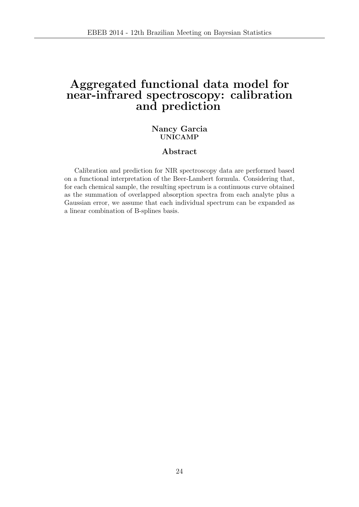### Aggregated functional data model for near-infrared spectroscopy: calibration and prediction

#### Nancy Garcia UNICAMP

#### Abstract

Calibration and prediction for NIR spectroscopy data are performed based on a functional interpretation of the Beer-Lambert formula. Considering that, for each chemical sample, the resulting spectrum is a continuous curve obtained as the summation of overlapped absorption spectra from each analyte plus a Gaussian error, we assume that each individual spectrum can be expanded as a linear combination of B-splines basis.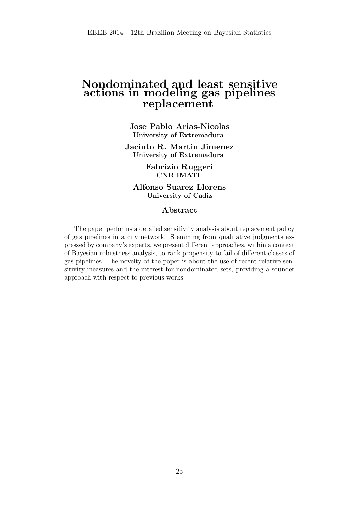### Nondominated and least sensitive actions in modeling gas pipelines replacement

Jose Pablo Arias-Nicolas University of Extremadura

Jacinto R. Martin Jimenez University of Extremadura

> Fabrizio Ruggeri CNR IMATI

Alfonso Suarez Llorens University of Cadiz

#### Abstract

The paper performs a detailed sensitivity analysis about replacement policy of gas pipelines in a city network. Stemming from qualitative judgments expressed by company's experts, we present different approaches, within a context of Bayesian robustness analysis, to rank propensity to fail of different classes of gas pipelines. The novelty of the paper is about the use of recent relative sensitivity measures and the interest for nondominated sets, providing a sounder approach with respect to previous works.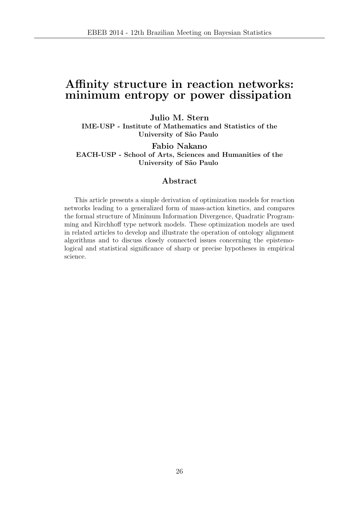### Affinity structure in reaction networks: minimum entropy or power dissipation

Julio M. Stern IME-USP - Institute of Mathematics and Statistics of the University of São Paulo

Fabio Nakano EACH-USP - School of Arts, Sciences and Humanities of the University of São Paulo

#### Abstract

This article presents a simple derivation of optimization models for reaction networks leading to a generalized form of mass-action kinetics, and compares the formal structure of Minimum Information Divergence, Quadratic Programming and Kirchhoff type network models. These optimization models are used in related articles to develop and illustrate the operation of ontology alignment algorithms and to discuss closely connected issues concerning the epistemological and statistical significance of sharp or precise hypotheses in empirical science.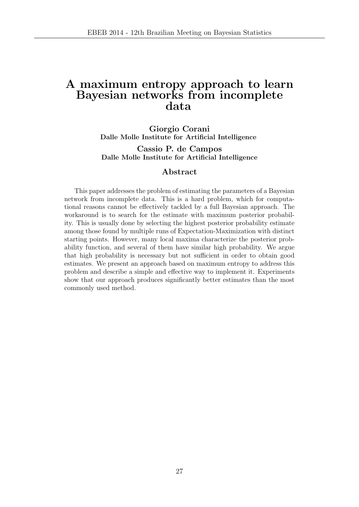### A maximum entropy approach to learn Bayesian networks from incomplete data

Giorgio Corani Dalle Molle Institute for Artificial Intelligence

Cassio P. de Campos Dalle Molle Institute for Artificial Intelligence

#### Abstract

This paper addresses the problem of estimating the parameters of a Bayesian network from incomplete data. This is a hard problem, which for computational reasons cannot be effectively tackled by a full Bayesian approach. The workaround is to search for the estimate with maximum posterior probability. This is usually done by selecting the highest posterior probability estimate among those found by multiple runs of Expectation-Maximization with distinct starting points. However, many local maxima characterize the posterior probability function, and several of them have similar high probability. We argue that high probability is necessary but not sufficient in order to obtain good estimates. We present an approach based on maximum entropy to address this problem and describe a simple and effective way to implement it. Experiments show that our approach produces significantly better estimates than the most commonly used method.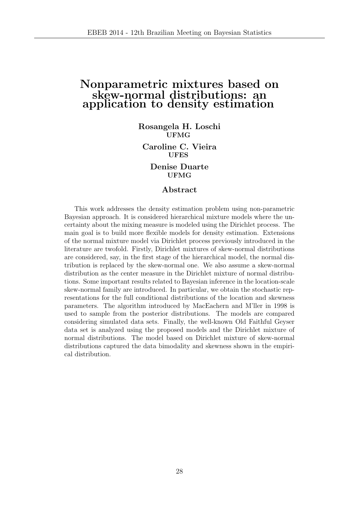### Nonparametric mixtures based on skew-normal distributions: an application to density estimation

Rosangela H. Loschi UFMG

Caroline C. Vieira UFES

> Denise Duarte UFMG

#### Abstract

This work addresses the density estimation problem using non-parametric Bayesian approach. It is considered hierarchical mixture models where the uncertainty about the mixing measure is modeled using the Dirichlet process. The main goal is to build more flexible models for density estimation. Extensions of the normal mixture model via Dirichlet process previously introduced in the literature are twofold. Firstly, Dirichlet mixtures of skew-normal distributions are considered, say, in the first stage of the hierarchical model, the normal distribution is replaced by the skew-normal one. We also assume a skew-normal distribution as the center measure in the Dirichlet mixture of normal distributions. Some important results related to Bayesian inference in the location-scale skew-normal family are introduced. In particular, we obtain the stochastic representations for the full conditional distributions of the location and skewness parameters. The algorithm introduced by MacEachern and M'ller in 1998 is used to sample from the posterior distributions. The models are compared considering simulated data sets. Finally, the well-known Old Faithful Geyser data set is analyzed using the proposed models and the Dirichlet mixture of normal distributions. The model based on Dirichlet mixture of skew-normal distributions captured the data bimodality and skewness shown in the empirical distribution.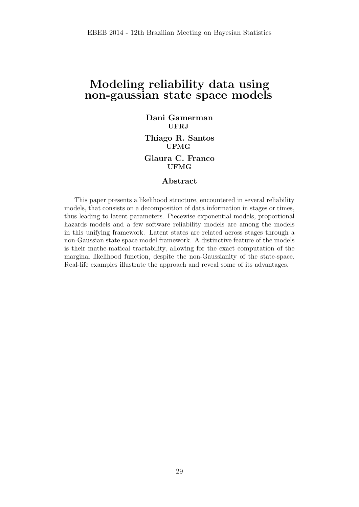### Modeling reliability data using non-gaussian state space models

Dani Gamerman UFRJ Thiago R. Santos UFMG Glaura C. Franco UFMG

#### Abstract

This paper presents a likelihood structure, encountered in several reliability models, that consists on a decomposition of data information in stages or times, thus leading to latent parameters. Piecewise exponential models, proportional hazards models and a few software reliability models are among the models in this unifying framework. Latent states are related across stages through a non-Gaussian state space model framework. A distinctive feature of the models is their mathe-matical tractability, allowing for the exact computation of the marginal likelihood function, despite the non-Gaussianity of the state-space. Real-life examples illustrate the approach and reveal some of its advantages.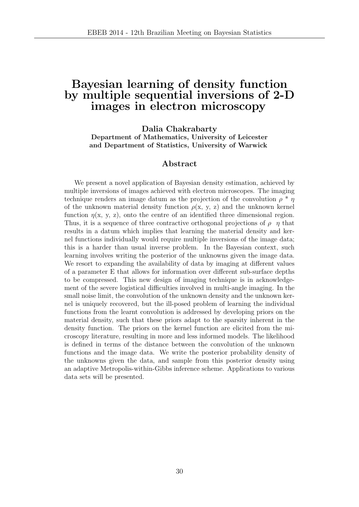### Bayesian learning of density function by multiple sequential inversions of 2-D images in electron microscopy

Dalia Chakrabarty Department of Mathematics, University of Leicester

and Department of Statistics, University of Warwick

#### Abstract

We present a novel application of Bayesian density estimation, achieved by multiple inversions of images achieved with electron microscopes. The imaging technique renders an image datum as the projection of the convolution  $\rho * \eta$ of the unknown material density function  $\rho(x, y, z)$  and the unknown kernel function  $\eta(x, y, z)$ , onto the centre of an identified three dimensional region. Thus, it is a sequence of three contractive orthogonal projections of  $\rho$   $\eta$  that results in a datum which implies that learning the material density and kernel functions individually would require multiple inversions of the image data; this is a harder than usual inverse problem. In the Bayesian context, such learning involves writing the posterior of the unknowns given the image data. We resort to expanding the availability of data by imaging at different values of a parameter E that allows for information over different sub-surface depths to be compressed. This new design of imaging technique is in acknowledgement of the severe logistical difficulties involved in multi-angle imaging. In the small noise limit, the convolution of the unknown density and the unknown kernel is uniquely recovered, but the ill-posed problem of learning the individual functions from the learnt convolution is addressed by developing priors on the material density, such that these priors adapt to the sparsity inherent in the density function. The priors on the kernel function are elicited from the microscopy literature, resulting in more and less informed models. The likelihood is defined in terms of the distance between the convolution of the unknown functions and the image data. We write the posterior probability density of the unknowns given the data, and sample from this posterior density using an adaptive Metropolis-within-Gibbs inference scheme. Applications to various data sets will be presented.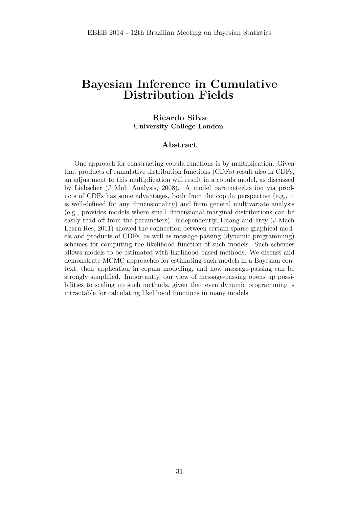### Bayesian Inference in Cumulative Distribution Fields

#### Ricardo Silva University College London

#### Abstract

One approach for constructing copula functions is by multiplication. Given that products of cumulative distribution functions (CDFs) result also in CDFs, an adjustment to this multiplication will result in a copula model, as discussed by Liebscher (J Mult Analysis, 2008). A model parameterization via products of CDFs has some advantages, both from the copula perspective (e.g., it is well-defined for any dimensionality) and from general multivariate analysis (e.g., provides models where small dimensional marginal distributions can be easily read-off from the parameters). Independently, Huang and Frey (J Mach Learn Res, 2011) showed the connection between certain sparse graphical models and products of CDFs, as well as message-passing (dynamic programming) schemes for computing the likelihood function of such models. Such schemes allows models to be estimated with likelihood-based methods. We discuss and demonstrate MCMC approaches for estimating such models in a Bayesian context, their application in copula modelling, and how message-passing can be strongly simplified. Importantly, our view of message-passing opens up possibilities to scaling up such methods, given that even dynamic programming is intractable for calculating likelihood functions in many models.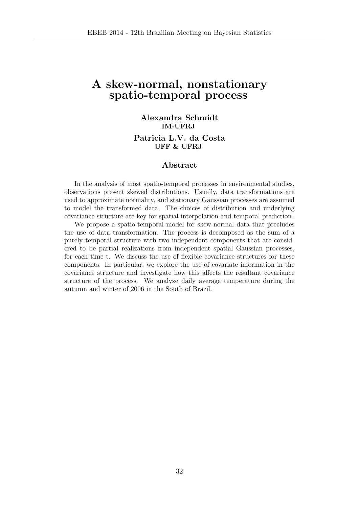### A skew-normal, nonstationary spatio-temporal process

### Alexandra Schmidt IM-UFRJ Patricia L.V. da Costa UFF & UFRJ

#### Abstract

In the analysis of most spatio-temporal processes in environmental studies, observations present skewed distributions. Usually, data transformations are used to approximate normality, and stationary Gaussian processes are assumed to model the transformed data. The choices of distribution and underlying covariance structure are key for spatial interpolation and temporal prediction.

We propose a spatio-temporal model for skew-normal data that precludes the use of data transformation. The process is decomposed as the sum of a purely temporal structure with two independent components that are considered to be partial realizations from independent spatial Gaussian processes, for each time t. We discuss the use of flexible covariance structures for these components. In particular, we explore the use of covariate information in the covariance structure and investigate how this affects the resultant covariance structure of the process. We analyze daily average temperature during the autumn and winter of 2006 in the South of Brazil.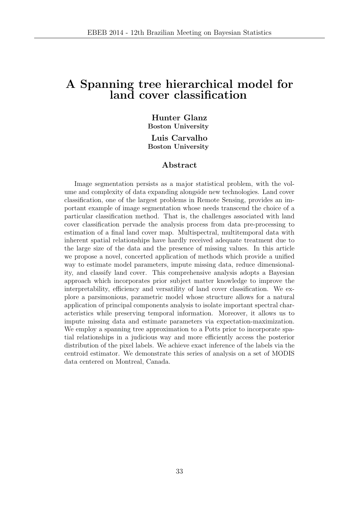### A Spanning tree hierarchical model for land cover classification

Hunter Glanz Boston University

Luis Carvalho Boston University

#### Abstract

Image segmentation persists as a major statistical problem, with the volume and complexity of data expanding alongside new technologies. Land cover classification, one of the largest problems in Remote Sensing, provides an important example of image segmentation whose needs transcend the choice of a particular classification method. That is, the challenges associated with land cover classification pervade the analysis process from data pre-processing to estimation of a final land cover map. Multispectral, multitemporal data with inherent spatial relationships have hardly received adequate treatment due to the large size of the data and the presence of missing values. In this article we propose a novel, concerted application of methods which provide a unified way to estimate model parameters, impute missing data, reduce dimensionality, and classify land cover. This comprehensive analysis adopts a Bayesian approach which incorporates prior subject matter knowledge to improve the interpretability, efficiency and versatility of land cover classification. We explore a parsimonious, parametric model whose structure allows for a natural application of principal components analysis to isolate important spectral characteristics while preserving temporal information. Moreover, it allows us to impute missing data and estimate parameters via expectation-maximization. We employ a spanning tree approximation to a Potts prior to incorporate spatial relationships in a judicious way and more efficiently access the posterior distribution of the pixel labels. We achieve exact inference of the labels via the centroid estimator. We demonstrate this series of analysis on a set of MODIS data centered on Montreal, Canada.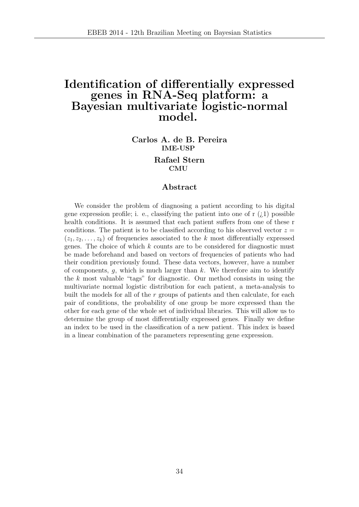### Identification of differentially expressed genes in RNA-Seq platform: a Bayesian multivariate logistic-normal model.

Carlos A. de B. Pereira IME-USP

#### Rafael Stern CMU

#### Abstract

We consider the problem of diagnosing a patient according to his digital gene expression profile; i. e., classifying the patient into one of  $r(i)$  possible health conditions. It is assumed that each patient suffers from one of these r conditions. The patient is to be classified according to his observed vector  $z =$  $(z_1, z_2, \ldots, z_k)$  of frequencies associated to the k most differentially expressed genes. The choice of which  $k$  counts are to be considered for diagnostic must be made beforehand and based on vectors of frequencies of patients who had their condition previously found. These data vectors, however, have a number of components,  $g$ , which is much larger than  $k$ . We therefore aim to identify the  $k$  most valuable "tags" for diagnostic. Our method consists in using the multivariate normal logistic distribution for each patient, a meta-analysis to built the models for all of the  $r$  groups of patients and then calculate, for each pair of conditions, the probability of one group be more expressed than the other for each gene of the whole set of individual libraries. This will allow us to determine the group of most differentially expressed genes. Finally we define an index to be used in the classification of a new patient. This index is based in a linear combination of the parameters representing gene expression.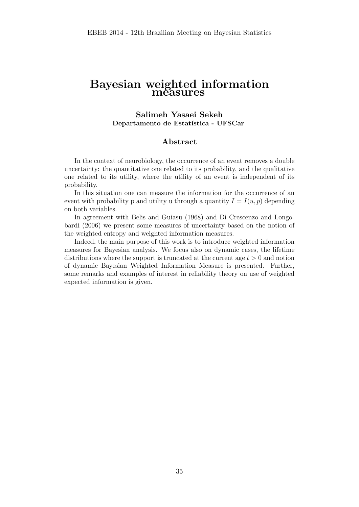### Bayesian weighted information measures

#### Salimeh Yasaei Sekeh Departamento de Estatística - UFSCar

#### Abstract

In the context of neurobiology, the occurrence of an event removes a double uncertainty: the quantitative one related to its probability, and the qualitative one related to its utility, where the utility of an event is independent of its probability.

In this situation one can measure the information for the occurrence of an event with probability p and utility u through a quantity  $I = I(u, p)$  depending on both variables.

In agreement with Belis and Guiasu (1968) and Di Crescenzo and Longobardi (2006) we present some measures of uncertainty based on the notion of the weighted entropy and weighted information measures.

Indeed, the main purpose of this work is to introduce weighted information measures for Bayesian analysis. We focus also on dynamic cases, the lifetime distributions where the support is truncated at the current age  $t > 0$  and notion of dynamic Bayesian Weighted Information Measure is presented. Further, some remarks and examples of interest in reliability theory on use of weighted expected information is given.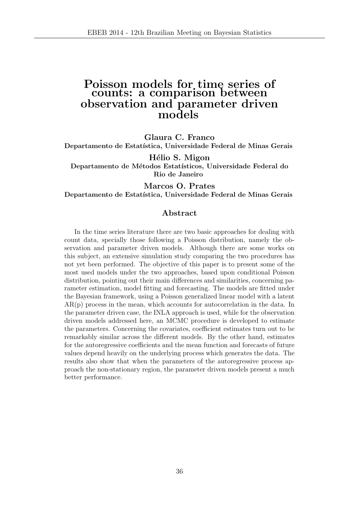### Poisson models for time series of counts: a comparison between observation and parameter driven models

Glaura C. Franco Departamento de Estatística, Universidade Federal de Minas Gerais

Hélio S. Migon Departamento de Métodos Estatísticos, Universidade Federal do Rio de Janeiro

Marcos O. Prates Departamento de Estatística, Universidade Federal de Minas Gerais

#### Abstract

In the time series literature there are two basic approaches for dealing with count data, specially those following a Poisson distribution, namely the observation and parameter driven models. Although there are some works on this subject, an extensive simulation study comparing the two procedures has not yet been performed. The objective of this paper is to present some of the most used models under the two approaches, based upon conditional Poisson distribution, pointing out their main differences and similarities, concerning parameter estimation, model fitting and forecasting. The models are fitted under the Bayesian framework, using a Poisson generalized linear model with a latent AR(p) process in the mean, which accounts for autocorrelation in the data. In the parameter driven case, the INLA approach is used, while for the observation driven models addressed here, an MCMC procedure is developed to estimate the parameters. Concerning the covariates, coefficient estimates turn out to be remarkably similar across the different models. By the other hand, estimates for the autoregressive coefficients and the mean function and forecasts of future values depend heavily on the underlying process which generates the data. The results also show that when the parameters of the autoregressive process approach the non-stationary region, the parameter driven models present a much better performance.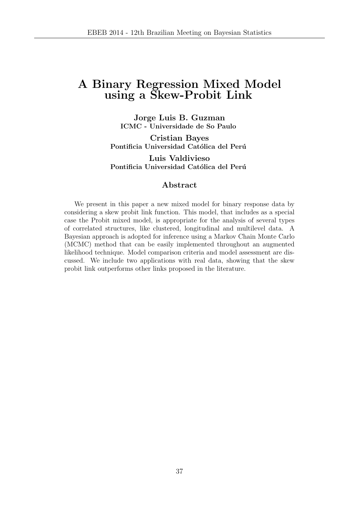## A Binary Regression Mixed Model using a Skew-Probit Link

Jorge Luis B. Guzman ICMC - Universidade de So Paulo

Cristian Bayes Pontificia Universidad Católica del Perú Luis Valdivieso Pontificia Universidad Católica del Perú

#### Abstract

We present in this paper a new mixed model for binary response data by considering a skew probit link function. This model, that includes as a special case the Probit mixed model, is appropriate for the analysis of several types of correlated structures, like clustered, longitudinal and multilevel data. A Bayesian approach is adopted for inference using a Markov Chain Monte Carlo (MCMC) method that can be easily implemented throughout an augmented likelihood technique. Model comparison criteria and model assessment are discussed. We include two applications with real data, showing that the skew probit link outperforms other links proposed in the literature.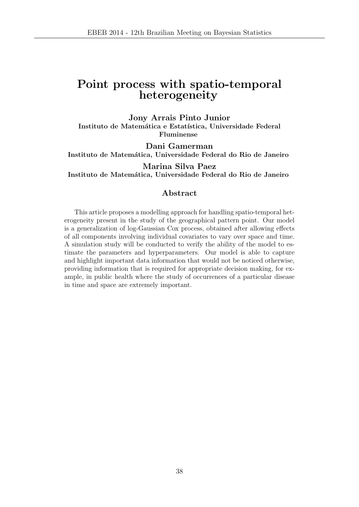# Point process with spatio-temporal heterogeneity

Jony Arrais Pinto Junior Instituto de Matemática e Estatística, Universidade Federal Fluminense

Dani Gamerman Instituto de Matemática, Universidade Federal do Rio de Janeiro

Marina Silva Paez Instituto de Matemática, Universidade Federal do Rio de Janeiro

#### Abstract

This article proposes a modelling approach for handling spatio-temporal heterogeneity present in the study of the geographical pattern point. Our model is a generalization of log-Gaussian Cox process, obtained after allowing effects of all components involving individual covariates to vary over space and time. A simulation study will be conducted to verify the ability of the model to estimate the parameters and hyperparameters. Our model is able to capture and highlight important data information that would not be noticed otherwise, providing information that is required for appropriate decision making, for example, in public health where the study of occurrences of a particular disease in time and space are extremely important.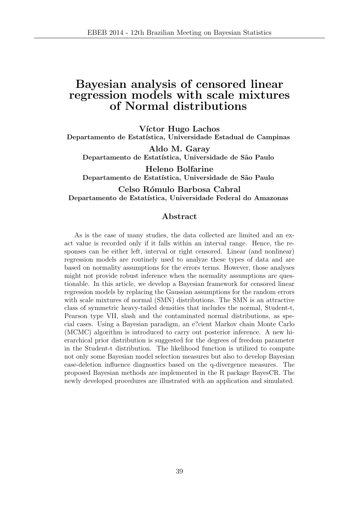## Bayesian analysis of censored linear regression models with scale mixtures of Normal distributions

Víctor Hugo Lachos Departamento de Estatística, Universidade Estadual de Campinas

Aldo M. Garay Departamento de Estatística, Universidade de São Paulo

Heleno Bolfarine Departamento de Estatística, Universidade de São Paulo

Celso Rómulo Barbosa Cabral Departamento de Estatística, Universidade Federal do Amazonas

#### Abstract

As is the case of many studies, the data collected are limited and an exact value is recorded only if it falls within an interval range. Hence, the responses can be either left, interval or right censored. Linear (and nonlinear) regression models are routinely used to analyze these types of data and are based on normality assumptions for the errors terms. However, those analyses might not provide robust inference when the normality assumptions are questionable. In this article, we develop a Bayesian framework for censored linear regression models by replacing the Gaussian assumptions for the random errors with scale mixtures of normal (SMN) distributions. The SMN is an attractive class of symmetric heavy-tailed densities that includes the normal, Student-t, Pearson type VII, slash and the contaminated normal distributions, as special cases. Using a Bayesian paradigm, an e?cient Markov chain Monte Carlo (MCMC) algorithm is introduced to carry out posterior inference. A new hierarchical prior distribution is suggested for the degrees of freedom parameter in the Student-t distribution. The likelihood function is utilized to compute not only some Bayesian model selection measures but also to develop Bayesian case-deletion influence diagnostics based on the q-divergence measures. The proposed Bayesian methods are implemented in the R package BayesCR. The newly developed procedures are illustrated with an application and simulated.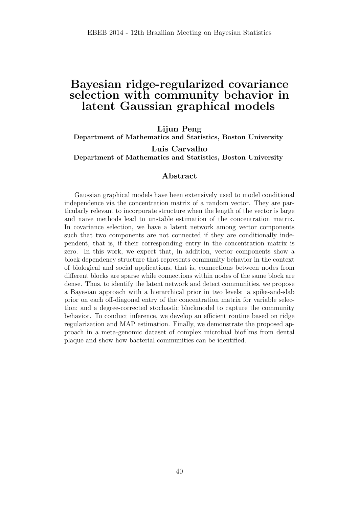## Bayesian ridge-regularized covariance selection with community behavior in latent Gaussian graphical models

Lijun Peng

Department of Mathematics and Statistics, Boston University

Luis Carvalho Department of Mathematics and Statistics, Boston University

#### Abstract

Gaussian graphical models have been extensively used to model conditional independence via the concentration matrix of a random vector. They are particularly relevant to incorporate structure when the length of the vector is large and naive methods lead to unstable estimation of the concentration matrix. In covariance selection, we have a latent network among vector components such that two components are not connected if they are conditionally independent, that is, if their corresponding entry in the concentration matrix is zero. In this work, we expect that, in addition, vector components show a block dependency structure that represents community behavior in the context of biological and social applications, that is, connections between nodes from different blocks are sparse while connections within nodes of the same block are dense. Thus, to identify the latent network and detect communities, we propose a Bayesian approach with a hierarchical prior in two levels: a spike-and-slab prior on each off-diagonal entry of the concentration matrix for variable selection; and a degree-corrected stochastic blockmodel to capture the community behavior. To conduct inference, we develop an efficient routine based on ridge regularization and MAP estimation. Finally, we demonstrate the proposed approach in a meta-genomic dataset of complex microbial biofilms from dental plaque and show how bacterial communities can be identified.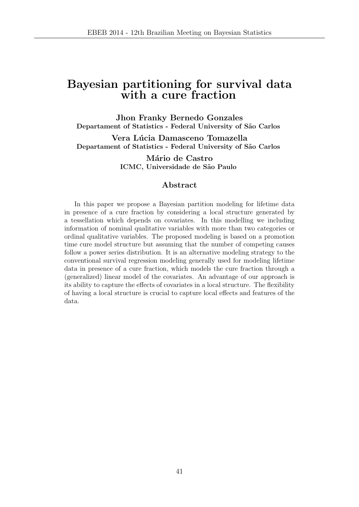## Bayesian partitioning for survival data with a cure fraction

Jhon Franky Bernedo Gonzales Departament of Statistics - Federal University of São Carlos

Vera Lúcia Damasceno Tomazella Departament of Statistics - Federal University of São Carlos

> Mário de Castro ICMC, Universidade de São Paulo

#### Abstract

In this paper we propose a Bayesian partition modeling for lifetime data in presence of a cure fraction by considering a local structure generated by a tessellation which depends on covariates. In this modelling we including information of nominal qualitative variables with more than two categories or ordinal qualitative variables. The proposed modeling is based on a promotion time cure model structure but assuming that the number of competing causes follow a power series distribution. It is an alternative modeling strategy to the conventional survival regression modeling generally used for modeling lifetime data in presence of a cure fraction, which models the cure fraction through a (generalized) linear model of the covariates. An advantage of our approach is its ability to capture the effects of covariates in a local structure. The flexibility of having a local structure is crucial to capture local effects and features of the data.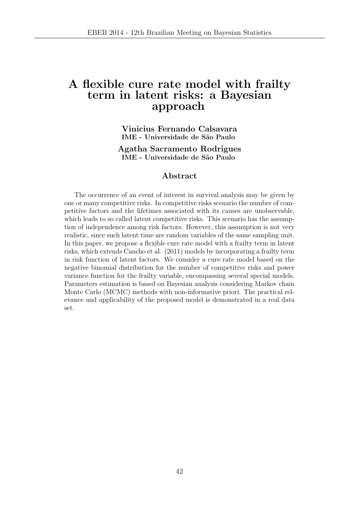### A flexible cure rate model with frailty term in latent risks: a Bayesian approach

Vinicius Fernando Calsavara IME - Universidade de S˜ao Paulo

Agatha Sacramento Rodrigues IME - Universidade de S˜ao Paulo

#### Abstract

The occurrence of an event of interest in survival analysis may be given by one or many competitive risks. In competitive risks scenario the number of competitive factors and the lifetimes associated with its causes are unobservable, which leads to so called latent competitive risks. This scenario has the assumption of independence among risk factors. However, this assumption is not very realistic, since such latent time are random variables of the same sampling unit. In this paper, we propose a flexible cure rate model with a frailty term in latent risks, which extends Cancho et al. (2011) models by incorporating a frailty term in risk function of latent factors. We consider a cure rate model based on the negative binomial distribution for the number of competitive risks and power variance function for the frailty variable, encompassing several special models. Parameters estimation is based on Bayesian analysis considering Markov chain Monte Carlo (MCMC) methods with non-informative priori. The practical relevance and applicability of the proposed model is demonstrated in a real data set.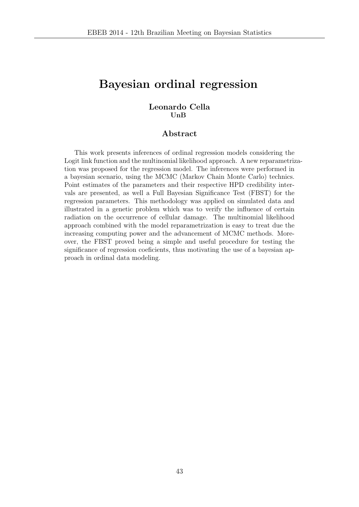# Bayesian ordinal regression

#### Leonardo Cella UnB

#### Abstract

This work presents inferences of ordinal regression models considering the Logit link function and the multinomial likelihood approach. A new reparametrization was proposed for the regression model. The inferences were performed in a bayesian scenario, using the MCMC (Markov Chain Monte Carlo) technics. Point estimates of the parameters and their respective HPD credibility intervals are presented, as well a Full Bayesian Significance Test (FBST) for the regression parameters. This methodology was applied on simulated data and illustrated in a genetic problem which was to verify the influence of certain radiation on the occurrence of cellular damage. The multinomial likelihood approach combined with the model reparametrization is easy to treat due the increasing computing power and the advancement of MCMC methods. Moreover, the FBST proved being a simple and useful procedure for testing the significance of regression coeficients, thus motivating the use of a bayesian approach in ordinal data modeling.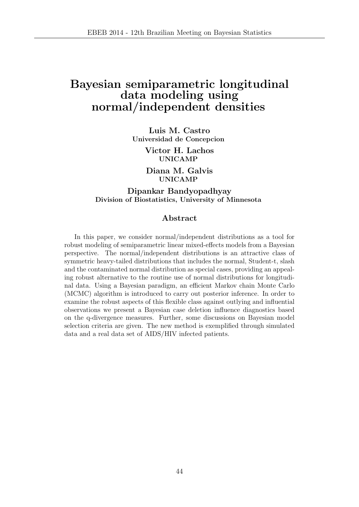## Bayesian semiparametric longitudinal data modeling using normal/independent densities

Luis M. Castro Universidad de Concepcion

> Victor H. Lachos UNICAMP

Diana M. Galvis UNICAMP

Dipankar Bandyopadhyay Division of Biostatistics, University of Minnesota

#### Abstract

In this paper, we consider normal/independent distributions as a tool for robust modeling of semiparametric linear mixed-effects models from a Bayesian perspective. The normal/independent distributions is an attractive class of symmetric heavy-tailed distributions that includes the normal, Student-t, slash and the contaminated normal distribution as special cases, providing an appealing robust alternative to the routine use of normal distributions for longitudinal data. Using a Bayesian paradigm, an efficient Markov chain Monte Carlo (MCMC) algorithm is introduced to carry out posterior inference. In order to examine the robust aspects of this flexible class against outlying and influential observations we present a Bayesian case deletion influence diagnostics based on the q-divergence measures. Further, some discussions on Bayesian model selection criteria are given. The new method is exemplified through simulated data and a real data set of AIDS/HIV infected patients.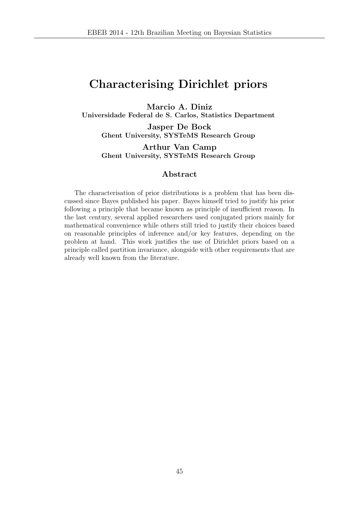# Characterising Dirichlet priors

Marcio A. Diniz

Universidade Federal de S. Carlos, Statistics Department

Jasper De Bock Ghent University, SYSTeMS Research Group

Arthur Van Camp Ghent University, SYSTeMS Research Group

#### Abstract

The characterisation of prior distributions is a problem that has been discussed since Bayes published his paper. Bayes himself tried to justify his prior following a principle that became known as principle of insufficient reason. In the last century, several applied researchers used conjugated priors mainly for mathematical convenience while others still tried to justify their choices based on reasonable principles of inference and/or key features, depending on the problem at hand. This work justifies the use of Dirichlet priors based on a principle called partition invariance, alongside with other requirements that are already well known from the literature.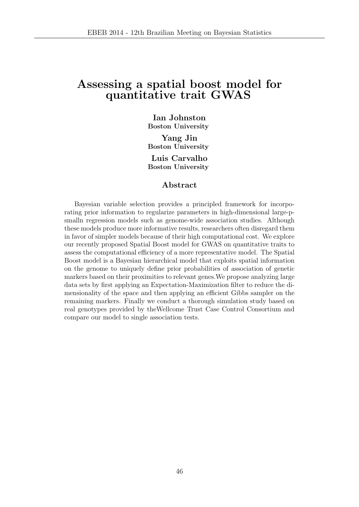### Assessing a spatial boost model for quantitative trait GWAS

Ian Johnston Boston University

Yang Jin Boston University Luis Carvalho Boston University

#### Abstract

Bayesian variable selection provides a principled framework for incorporating prior information to regularize parameters in high-dimensional large-psmalln regression models such as genome-wide association studies. Although these models produce more informative results, researchers often disregard them in favor of simpler models because of their high computational cost. We explore our recently proposed Spatial Boost model for GWAS on quantitative traits to assess the computational efficiency of a more representative model. The Spatial Boost model is a Bayesian hierarchical model that exploits spatial information on the genome to uniquely define prior probabilities of association of genetic markers based on their proximities to relevant genes.We propose analyzing large data sets by first applying an Expectation-Maximization filter to reduce the dimensionality of the space and then applying an efficient Gibbs sampler on the remaining markers. Finally we conduct a thorough simulation study based on real genotypes provided by theWellcome Trust Case Control Consortium and compare our model to single association tests.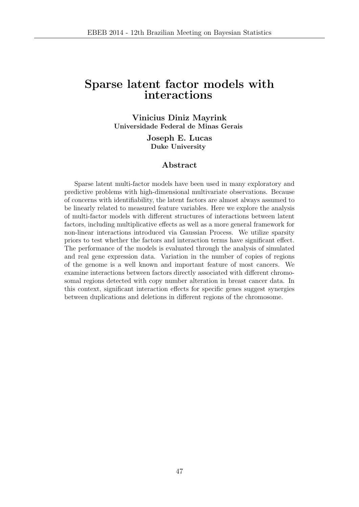## Sparse latent factor models with interactions

Vinicius Diniz Mayrink Universidade Federal de Minas Gerais

> Joseph E. Lucas Duke University

#### Abstract

Sparse latent multi-factor models have been used in many exploratory and predictive problems with high-dimensional multivariate observations. Because of concerns with identifiability, the latent factors are almost always assumed to be linearly related to measured feature variables. Here we explore the analysis of multi-factor models with different structures of interactions between latent factors, including multiplicative effects as well as a more general framework for non-linear interactions introduced via Gaussian Process. We utilize sparsity priors to test whether the factors and interaction terms have significant effect. The performance of the models is evaluated through the analysis of simulated and real gene expression data. Variation in the number of copies of regions of the genome is a well known and important feature of most cancers. We examine interactions between factors directly associated with different chromosomal regions detected with copy number alteration in breast cancer data. In this context, significant interaction effects for specific genes suggest synergies between duplications and deletions in different regions of the chromosome.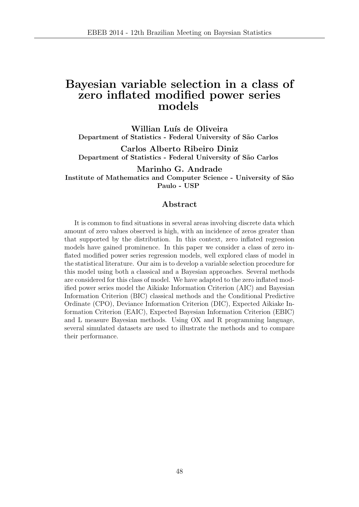### Bayesian variable selection in a class of zero inflated modified power series models

Willian Luís de Oliveira Department of Statistics - Federal University of São Carlos

Carlos Alberto Ribeiro Diniz Department of Statistics - Federal University of São Carlos

Marinho G. Andrade Institute of Mathematics and Computer Science - University of São Paulo - USP

#### Abstract

It is common to find situations in several areas involving discrete data which amount of zero values observed is high, with an incidence of zeros greater than that supported by the distribution. In this context, zero inflated regression models have gained prominence. In this paper we consider a class of zero inflated modified power series regression models, well explored class of model in the statistical literature. Our aim is to develop a variable selection procedure for this model using both a classical and a Bayesian approaches. Several methods are considered for this class of model. We have adapted to the zero inflated modified power series model the Aikiake Information Criterion (AIC) and Bayesian Information Criterion (BIC) classical methods and the Conditional Predictive Ordinate (CPO), Deviance Information Criterion (DIC), Expected Aikiake Information Criterion (EAIC), Expected Bayesian Information Criterion (EBIC) and L measure Bayesian methods. Using OX and R programming language, several simulated datasets are used to illustrate the methods and to compare their performance.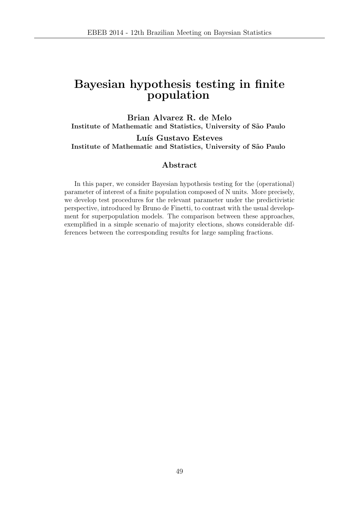# Bayesian hypothesis testing in finite population

Brian Alvarez R. de Melo Institute of Mathematic and Statistics, University of São Paulo

Luís Gustavo Esteves Institute of Mathematic and Statistics, University of São Paulo

#### Abstract

In this paper, we consider Bayesian hypothesis testing for the (operational) parameter of interest of a finite population composed of N units. More precisely, we develop test procedures for the relevant parameter under the predictivistic perspective, introduced by Bruno de Finetti, to contrast with the usual development for superpopulation models. The comparison between these approaches, exemplified in a simple scenario of majority elections, shows considerable differences between the corresponding results for large sampling fractions.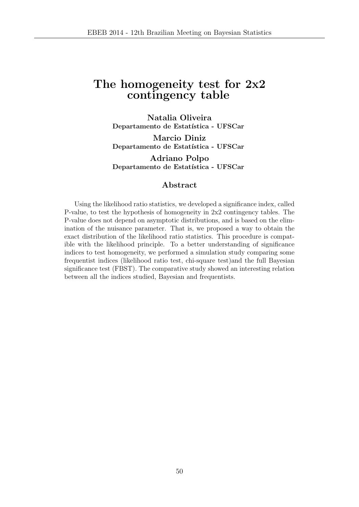## The homogeneity test for 2x2 contingency table

Natalia Oliveira Departamento de Estatística - UFSCar

Marcio Diniz Departamento de Estatística - UFSCar

Adriano Polpo Departamento de Estatística - UFSCar

#### Abstract

Using the likelihood ratio statistics, we developed a significance index, called P-value, to test the hypothesis of homogeneity in 2x2 contingency tables. The P-value does not depend on asymptotic distributions, and is based on the elimination of the nuisance parameter. That is, we proposed a way to obtain the exact distribution of the likelihood ratio statistics. This procedure is compatible with the likelihood principle. To a better understanding of significance indices to test homogeneity, we performed a simulation study comparing some frequentist indices (likelihood ratio test, chi-square test)and the full Bayesian significance test (FBST). The comparative study showed an interesting relation between all the indices studied, Bayesian and frequentists.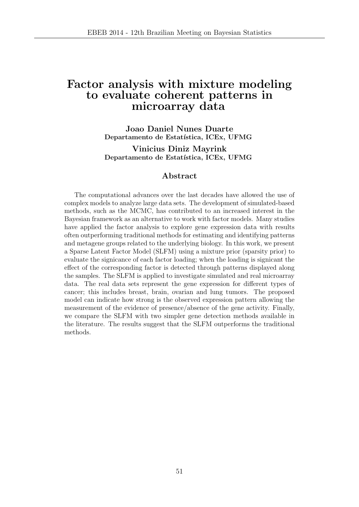### Factor analysis with mixture modeling to evaluate coherent patterns in microarray data

Joao Daniel Nunes Duarte Departamento de Estatística, ICEx, UFMG

Vinicius Diniz Mayrink Departamento de Estatística, ICEx, UFMG

#### Abstract

The computational advances over the last decades have allowed the use of complex models to analyze large data sets. The development of simulated-based methods, such as the MCMC, has contributed to an increased interest in the Bayesian framework as an alternative to work with factor models. Many studies have applied the factor analysis to explore gene expression data with results often outperforming traditional methods for estimating and identifying patterns and metagene groups related to the underlying biology. In this work, we present a Sparse Latent Factor Model (SLFM) using a mixture prior (sparsity prior) to evaluate the signicance of each factor loading; when the loading is signicant the effect of the corresponding factor is detected through patterns displayed along the samples. The SLFM is applied to investigate simulated and real microarray data. The real data sets represent the gene expression for different types of cancer; this includes breast, brain, ovarian and lung tumors. The proposed model can indicate how strong is the observed expression pattern allowing the measurement of the evidence of presence/absence of the gene activity. Finally, we compare the SLFM with two simpler gene detection methods available in the literature. The results suggest that the SLFM outperforms the traditional methods.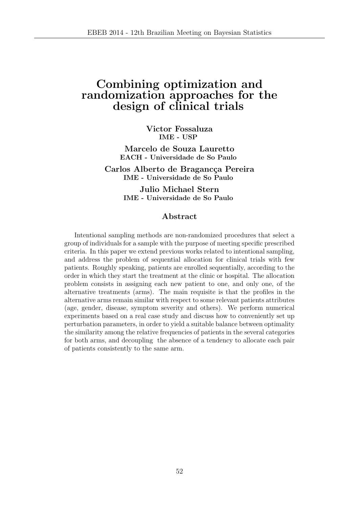## Combining optimization and randomization approaches for the design of clinical trials

Victor Fossaluza IME - USP

Marcelo de Souza Lauretto EACH - Universidade de So Paulo

Carlos Alberto de Bragancça Pereira IME - Universidade de So Paulo

> Julio Michael Stern IME - Universidade de So Paulo

#### Abstract

Intentional sampling methods are non-randomized procedures that select a group of individuals for a sample with the purpose of meeting specific prescribed criteria. In this paper we extend previous works related to intentional sampling, and address the problem of sequential allocation for clinical trials with few patients. Roughly speaking, patients are enrolled sequentially, according to the order in which they start the treatment at the clinic or hospital. The allocation problem consists in assigning each new patient to one, and only one, of the alternative treatments (arms). The main requisite is that the profiles in the alternative arms remain similar with respect to some relevant patients attributes (age, gender, disease, symptom severity and others). We perform numerical experiments based on a real case study and discuss how to conveniently set up perturbation parameters, in order to yield a suitable balance between optimality the similarity among the relative frequencies of patients in the several categories for both arms, and decoupling the absence of a tendency to allocate each pair of patients consistently to the same arm.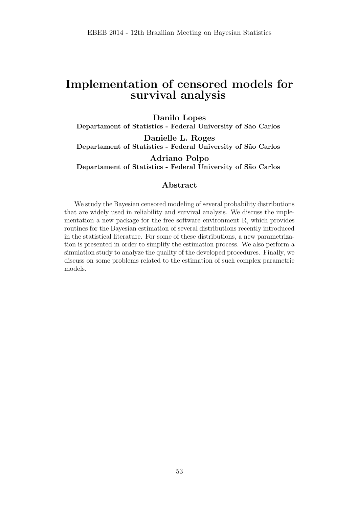## Implementation of censored models for survival analysis

Danilo Lopes Departament of Statistics - Federal University of São Carlos Danielle L. Roges Departament of Statistics - Federal University of São Carlos Adriano Polpo

## Departament of Statistics - Federal University of São Carlos

#### Abstract

We study the Bayesian censored modeling of several probability distributions that are widely used in reliability and survival analysis. We discuss the implementation a new package for the free software environment R, which provides routines for the Bayesian estimation of several distributions recently introduced in the statistical literature. For some of these distributions, a new parametrization is presented in order to simplify the estimation process. We also perform a simulation study to analyze the quality of the developed procedures. Finally, we discuss on some problems related to the estimation of such complex parametric models.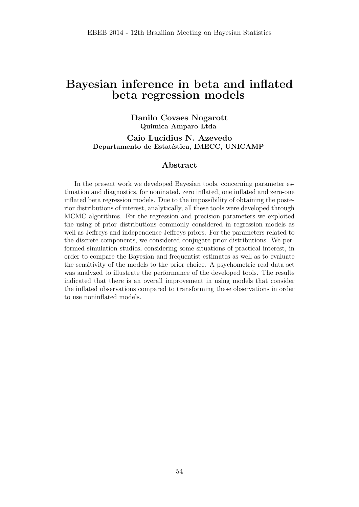## Bayesian inference in beta and inflated beta regression models

#### Danilo Covaes Nogarott Química Amparo Ltda

Caio Lucidius N. Azevedo Departamento de Estatística, IMECC, UNICAMP

#### Abstract

In the present work we developed Bayesian tools, concerning parameter estimation and diagnostics, for noninated, zero inflated, one inflated and zero-one inflated beta regression models. Due to the impossibility of obtaining the posterior distributions of interest, analytically, all these tools were developed through MCMC algorithms. For the regression and precision parameters we exploited the using of prior distributions commonly considered in regression models as well as Jeffreys and independence Jeffreys priors. For the parameters related to the discrete components, we considered conjugate prior distributions. We performed simulation studies, considering some situations of practical interest, in order to compare the Bayesian and frequentist estimates as well as to evaluate the sensitivity of the models to the prior choice. A psychometric real data set was analyzed to illustrate the performance of the developed tools. The results indicated that there is an overall improvement in using models that consider the inflated observations compared to transforming these observations in order to use noninflated models.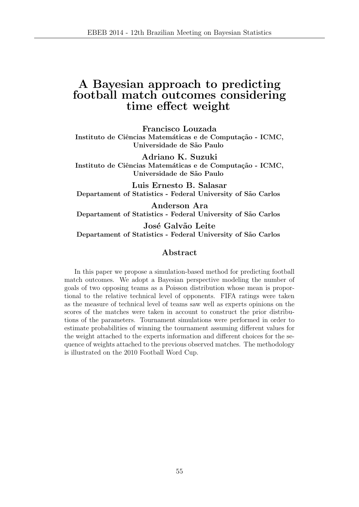### A Bayesian approach to predicting football match outcomes considering time effect weight

Francisco Louzada

Instituto de Ciências Matemáticas e de Computação - ICMC, Universidade de S˜ao Paulo

Adriano K. Suzuki Instituto de Ciências Matemáticas e de Computação - ICMC, Universidade de São Paulo

Luis Ernesto B. Salasar Departament of Statistics - Federal University of São Carlos

Anderson Ara Departament of Statistics - Federal University of São Carlos

José Galvão Leite Departament of Statistics - Federal University of São Carlos

#### Abstract

In this paper we propose a simulation-based method for predicting football match outcomes. We adopt a Bayesian perspective modeling the number of goals of two opposing teams as a Poisson distribution whose mean is proportional to the relative technical level of opponents. FIFA ratings were taken as the measure of technical level of teams saw well as experts opinions on the scores of the matches were taken in account to construct the prior distributions of the parameters. Tournament simulations were performed in order to estimate probabilities of winning the tournament assuming different values for the weight attached to the experts information and different choices for the sequence of weights attached to the previous observed matches. The methodology is illustrated on the 2010 Football Word Cup.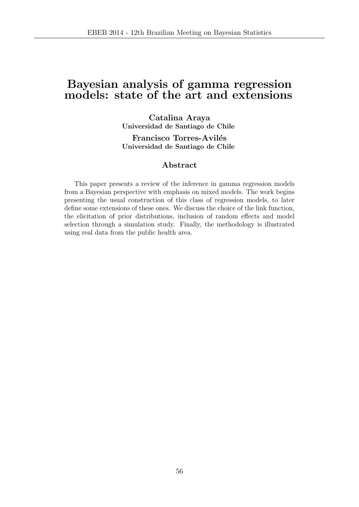## Bayesian analysis of gamma regression models: state of the art and extensions

Catalina Araya Universidad de Santiago de Chile

Francisco Torres-Avilés Universidad de Santiago de Chile

#### Abstract

This paper presents a review of the inference in gamma regression models from a Bayesian perspective with emphasis on mixed models. The work begins presenting the usual construction of this class of regression models, to later define some extensions of these ones. We discuss the choice of the link function, the elicitation of prior distributions, inclusion of random effects and model selection through a simulation study. Finally, the methodology is illustrated using real data from the public health area.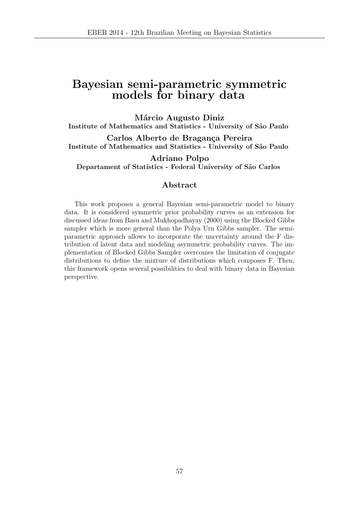## Bayesian semi-parametric symmetric models for binary data

Márcio Augusto Diniz Institute of Mathematics and Statistics - University of S˜ao Paulo

Carlos Alberto de Bragança Pereira Institute of Mathematics and Statistics - University of São Paulo

Adriano Polpo Departament of Statistics - Federal University of São Carlos

#### Abstract

This work proposes a general Bayesian semi-parametric model to binary data. It is considered symmetric prior probability curves as an extension for discussed ideas from Basu and Mukhopadhayay (2000) using the Blocked Gibbs sampler which is more general than the Polya Urn Gibbs sampler. The semiparametric approach allows to incorporate the uncertainty around the F distribution of latent data and modeling asymmetric probability curves. The implementation of Blocked Gibbs Sampler overcomes the limitation of conjugate distributions to define the mixture of distributions which composes F. Then, this framework opens several possibilities to deal with binary data in Bayesian perspective.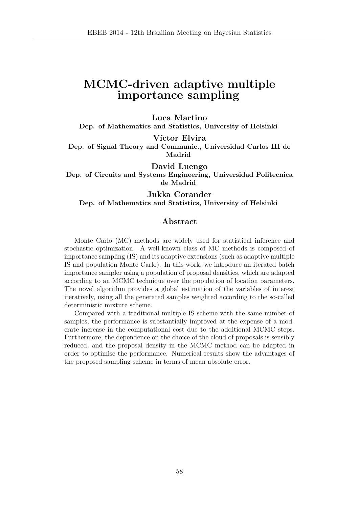# MCMC-driven adaptive multiple importance sampling

Luca Martino

Dep. of Mathematics and Statistics, University of Helsinki

Víctor Elvira

Dep. of Signal Theory and Communic., Universidad Carlos III de Madrid

David Luengo

Dep. of Circuits and Systems Engineering, Universidad Politecnica de Madrid

Jukka Corander

Dep. of Mathematics and Statistics, University of Helsinki

#### Abstract

Monte Carlo (MC) methods are widely used for statistical inference and stochastic optimization. A well-known class of MC methods is composed of importance sampling (IS) and its adaptive extensions (such as adaptive multiple IS and population Monte Carlo). In this work, we introduce an iterated batch importance sampler using a population of proposal densities, which are adapted according to an MCMC technique over the population of location parameters. The novel algorithm provides a global estimation of the variables of interest iteratively, using all the generated samples weighted according to the so-called deterministic mixture scheme.

Compared with a traditional multiple IS scheme with the same number of samples, the performance is substantially improved at the expense of a moderate increase in the computational cost due to the additional MCMC steps. Furthermore, the dependence on the choice of the cloud of proposals is sensibly reduced, and the proposal density in the MCMC method can be adapted in order to optimise the performance. Numerical results show the advantages of the proposed sampling scheme in terms of mean absolute error.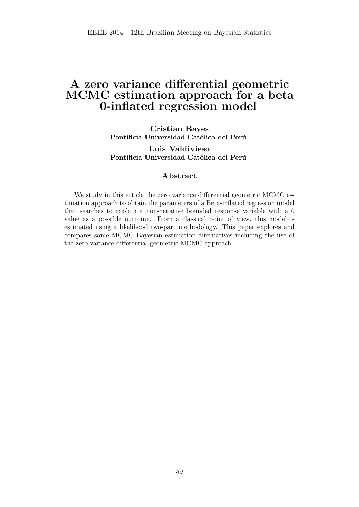## A zero variance differential geometric MCMC estimation approach for a beta 0-inflated regression model

Cristian Bayes Pontificia Universidad Católica del Perú

Luis Valdivieso Pontificia Universidad Católica del Perú

#### Abstract

We study in this article the zero variance differential geometric MCMC estimation approach to obtain the parameters of a Beta-inflated regression model that searches to explain a non-negative bounded response variable with a 0 value as a possible outcome. From a classical point of view, this model is estimated using a likelihood two-part methodology. This paper explores and compares some MCMC Bayesian estimation alternatives including the use of the zero variance differential geometric MCMC approach.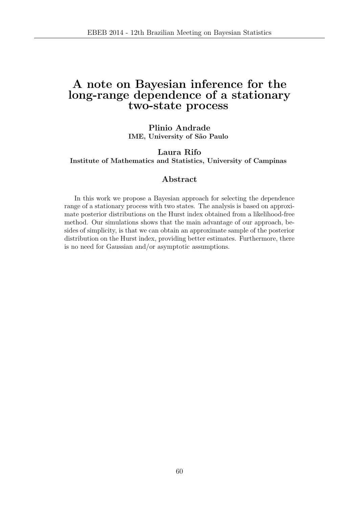## A note on Bayesian inference for the long-range dependence of a stationary two-state process

Plinio Andrade IME, University of São Paulo

Laura Rifo Institute of Mathematics and Statistics, University of Campinas

#### Abstract

In this work we propose a Bayesian approach for selecting the dependence range of a stationary process with two states. The analysis is based on approximate posterior distributions on the Hurst index obtained from a likelihood-free method. Our simulations shows that the main advantage of our approach, besides of simplicity, is that we can obtain an approximate sample of the posterior distribution on the Hurst index, providing better estimates. Furthermore, there is no need for Gaussian and/or asymptotic assumptions.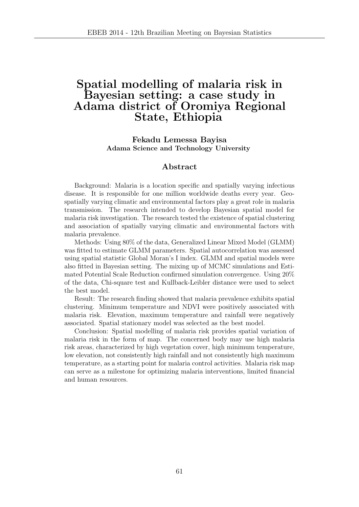## Spatial modelling of malaria risk in Bayesian setting: a case study in Adama district of Oromiya Regional State, Ethiopia

Fekadu Lemessa Bayisa Adama Science and Technology University

#### Abstract

Background: Malaria is a location specific and spatially varying infectious disease. It is responsible for one million worldwide deaths every year. Geospatially varying climatic and environmental factors play a great role in malaria transmission. The research intended to develop Bayesian spatial model for malaria risk investigation. The research tested the existence of spatial clustering and association of spatially varying climatic and environmental factors with malaria prevalence.

Methods: Using 80% of the data, Generalized Linear Mixed Model (GLMM) was fitted to estimate GLMM parameters. Spatial autocorrelation was assessed using spatial statistic Global Moran's I index. GLMM and spatial models were also fitted in Bayesian setting. The mixing up of MCMC simulations and Estimated Potential Scale Reduction confirmed simulation convergence. Using 20% of the data, Chi-square test and Kullback-Leibler distance were used to select the best model.

Result: The research finding showed that malaria prevalence exhibits spatial clustering. Minimum temperature and NDVI were positively associated with malaria risk. Elevation, maximum temperature and rainfall were negatively associated. Spatial stationary model was selected as the best model.

Conclusion: Spatial modelling of malaria risk provides spatial variation of malaria risk in the form of map. The concerned body may use high malaria risk areas, characterized by high vegetation cover, high minimum temperature, low elevation, not consistently high rainfall and not consistently high maximum temperature, as a starting point for malaria control activities. Malaria risk map can serve as a milestone for optimizing malaria interventions, limited financial and human resources.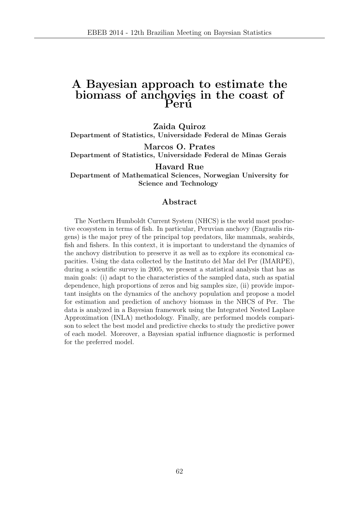### A Bayesian approach to estimate the biomass of anchovies in the coast of Perú

Zaida Quiroz

Department of Statistics, Universidade Federal de Minas Gerais

Marcos O. Prates Department of Statistics, Universidade Federal de Minas Gerais

Havard Rue

Department of Mathematical Sciences, Norwegian University for Science and Technology

#### Abstract

The Northern Humboldt Current System (NHCS) is the world most productive ecosystem in terms of fish. In particular, Peruvian anchovy (Engraulis ringens) is the major prey of the principal top predators, like mammals, seabirds, fish and fishers. In this context, it is important to understand the dynamics of the anchovy distribution to preserve it as well as to explore its economical capacities. Using the data collected by the Instituto del Mar del Per (IMARPE), during a scientific survey in 2005, we present a statistical analysis that has as main goals: (i) adapt to the characteristics of the sampled data, such as spatial dependence, high proportions of zeros and big samples size, (ii) provide important insights on the dynamics of the anchovy population and propose a model for estimation and prediction of anchovy biomass in the NHCS of Per. The data is analyzed in a Bayesian framework using the Integrated Nested Laplace Approximation (INLA) methodology. Finally, are performed models comparison to select the best model and predictive checks to study the predictive power of each model. Moreover, a Bayesian spatial influence diagnostic is performed for the preferred model.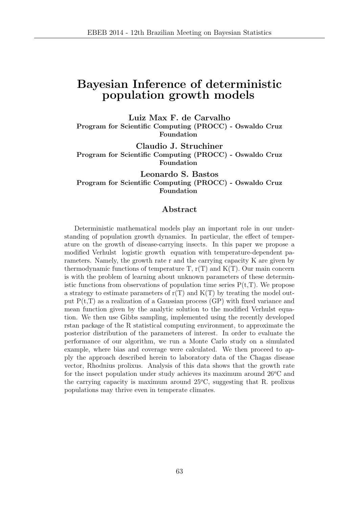## Bayesian Inference of deterministic population growth models

Luiz Max F. de Carvalho Program for Scientific Computing (PROCC) - Oswaldo Cruz Foundation

Claudio J. Struchiner Program for Scientific Computing (PROCC) - Oswaldo Cruz Foundation

Leonardo S. Bastos Program for Scientific Computing (PROCC) - Oswaldo Cruz Foundation

#### Abstract

Deterministic mathematical models play an important role in our understanding of population growth dynamics. In particular, the effect of temperature on the growth of disease-carrying insects. In this paper we propose a modified Verhulst logistic growth equation with temperature-dependent parameters. Namely, the growth rate r and the carrying capacity K are given by thermodynamic functions of temperature  $T$ ,  $r(T)$  and  $K(T)$ . Our main concern is with the problem of learning about unknown parameters of these deterministic functions from observations of population time series  $P(t,T)$ . We propose a strategy to estimate parameters of  $r(T)$  and  $K(T)$  by treating the model output  $P(t,T)$  as a realization of a Gaussian process  $(P)$  with fixed variance and mean function given by the analytic solution to the modified Verhulst equation. We then use Gibbs sampling, implemented using the recently developed rstan package of the R statistical computing environment, to approximate the posterior distribution of the parameters of interest. In order to evaluate the performance of our algorithm, we run a Monte Carlo study on a simulated example, where bias and coverage were calculated. We then proceed to apply the approach described herein to laboratory data of the Chagas disease vector, Rhodnius prolixus. Analysis of this data shows that the growth rate for the insect population under study achieves its maximum around  $26^{\circ}$ C and the carrying capacity is maximum around  $25^{\circ}$ C, suggesting that R. prolixus populations may thrive even in temperate climates.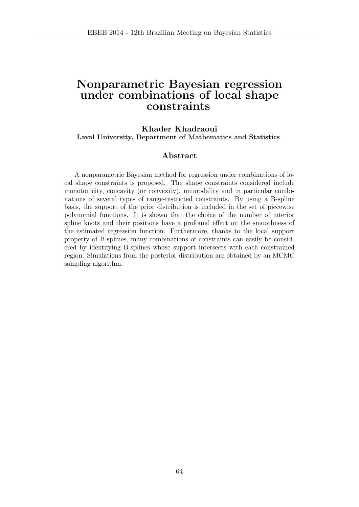## Nonparametric Bayesian regression under combinations of local shape constraints

#### Khader Khadraoui Laval University, Department of Mathematics and Statistics

#### Abstract

A nonparametric Bayesian method for regression under combinations of local shape constraints is proposed. The shape constraints considered include monotonicity, concavity (or convexity), unimodality and in particular combinations of several types of range-restricted constraints. By using a B-spline basis, the support of the prior distribution is included in the set of piecewise polynomial functions. It is shown that the choice of the number of interior spline knots and their positions have a profound effect on the smoothness of the estimated regression function. Furthermore, thanks to the local support property of B-splines, many combinations of constraints can easily be considered by identifying B-splines whose support intersects with each constrained region. Simulations from the posterior distribution are obtained by an MCMC sampling algorithm.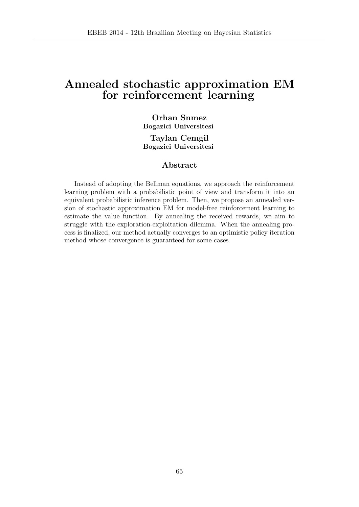## Annealed stochastic approximation EM for reinforcement learning

#### Orhan Snmez Bogazici Universitesi

Taylan Cemgil Bogazici Universitesi

#### Abstract

Instead of adopting the Bellman equations, we approach the reinforcement learning problem with a probabilistic point of view and transform it into an equivalent probabilistic inference problem. Then, we propose an annealed version of stochastic approximation EM for model-free reinforcement learning to estimate the value function. By annealing the received rewards, we aim to struggle with the exploration-exploitation dilemma. When the annealing process is finalized, our method actually converges to an optimistic policy iteration method whose convergence is guaranteed for some cases.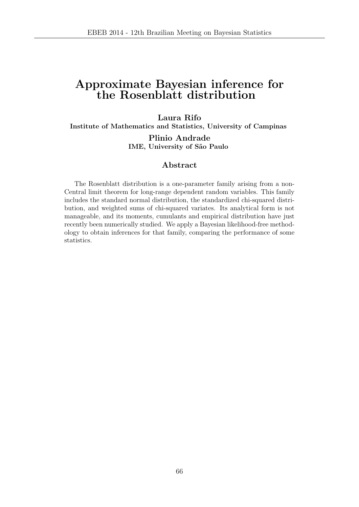# Approximate Bayesian inference for the Rosenblatt distribution

Laura Rifo

Institute of Mathematics and Statistics, University of Campinas

Plinio Andrade IME, University of São Paulo

#### Abstract

The Rosenblatt distribution is a one-parameter family arising from a non-Central limit theorem for long-range dependent random variables. This family includes the standard normal distribution, the standardized chi-squared distribution, and weighted sums of chi-squared variates. Its analytical form is not manageable, and its moments, cumulants and empirical distribution have just recently been numerically studied. We apply a Bayesian likelihood-free methodology to obtain inferences for that family, comparing the performance of some statistics.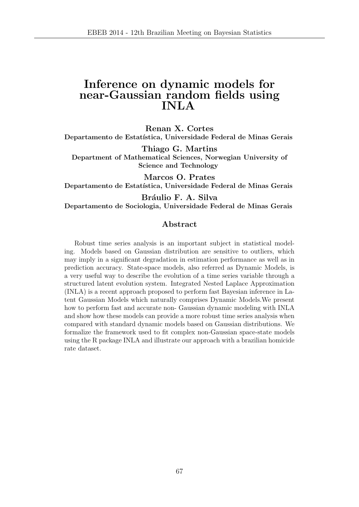## Inference on dynamic models for near-Gaussian random fields using INLA

Renan X. Cortes Departamento de Estatística, Universidade Federal de Minas Gerais

Thiago G. Martins Department of Mathematical Sciences, Norwegian University of Science and Technology

Marcos O. Prates Departamento de Estatística, Universidade Federal de Minas Gerais

Bráulio F. A. Silva

Departamento de Sociologia, Universidade Federal de Minas Gerais

#### Abstract

Robust time series analysis is an important subject in statistical modeling. Models based on Gaussian distribution are sensitive to outliers, which may imply in a significant degradation in estimation performance as well as in prediction accuracy. State-space models, also referred as Dynamic Models, is a very useful way to describe the evolution of a time series variable through a structured latent evolution system. Integrated Nested Laplace Approximation (INLA) is a recent approach proposed to perform fast Bayesian inference in Latent Gaussian Models which naturally comprises Dynamic Models.We present how to perform fast and accurate non- Gaussian dynamic modeling with INLA and show how these models can provide a more robust time series analysis when compared with standard dynamic models based on Gaussian distributions. We formalize the framework used to fit complex non-Gaussian space-state models using the R package INLA and illustrate our approach with a brazilian homicide rate dataset.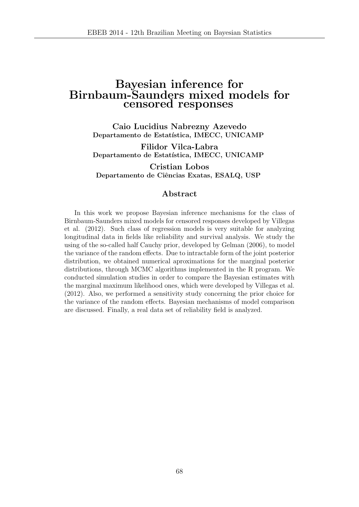### Bayesian inference for Birnbaum-Saunders mixed models for censored responses

Caio Lucidius Nabrezny Azevedo Departamento de Estatística, IMECC, UNICAMP

Filidor Vilca-Labra Departamento de Estatística, IMECC, UNICAMP

Cristian Lobos Departamento de Ciências Exatas, ESALQ, USP

#### Abstract

In this work we propose Bayesian inference mechanisms for the class of Birnbaum-Saunders mixed models for censored responses developed by Villegas et al. (2012). Such class of regression models is very suitable for analyzing longitudinal data in fields like reliability and survival analysis. We study the using of the so-called half Cauchy prior, developed by Gelman (2006), to model the variance of the random effects. Due to intractable form of the joint posterior distribution, we obtained numerical aproximations for the marginal posterior distributions, through MCMC algorithms implemented in the R program. We conducted simulation studies in order to compare the Bayesian estimates with the marginal maximum likelihood ones, which were developed by Villegas et al. (2012). Also, we performed a sensitivity study concerning the prior choice for the variance of the random effects. Bayesian mechanisms of model comparison are discussed. Finally, a real data set of reliability field is analyzed.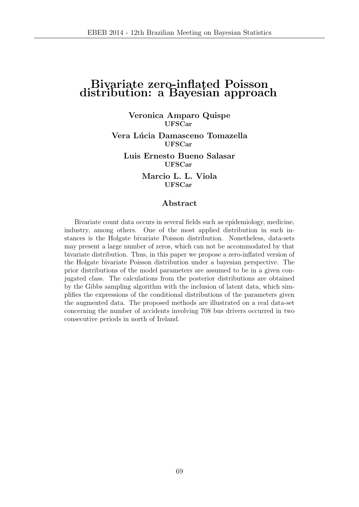### Bivariate zero-inflated Poisson distribution: a Bayesian approach

Veronica Amparo Quispe UFSCar

Vera Lúcia Damasceno Tomazella UFSCar

Luis Ernesto Bueno Salasar UFSCar

> Marcio L. L. Viola UFSCar

#### Abstract

Bivariate count data occurs in several fields such as epidemiology, medicine, industry, among others. One of the most applied distribution in such instances is the Holgate bivariate Poisson distribution. Nonetheless, data-sets may present a large number of zeros, which can not be accommodated by that bivariate distribution. Thus, in this paper we propose a zero-inflated version of the Holgate bivariate Poisson distribution under a bayesian perspective. The prior distributions of the model parameters are assumed to be in a given conjugated class. The calculations from the posterior distributions are obtained by the Gibbs sampling algorithm with the inclusion of latent data, which simplifies the expressions of the conditional distributions of the parameters given the augmented data. The proposed methods are illustrated on a real data-set concerning the number of accidents involving 708 bus drivers occurred in two consecutive periods in north of Ireland.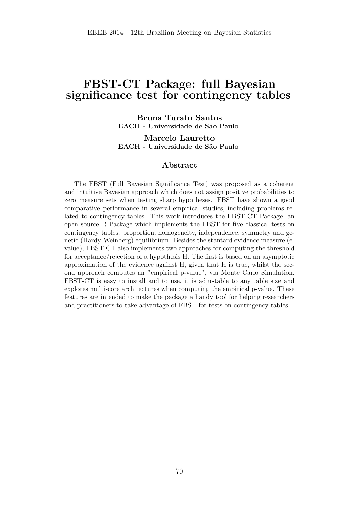# FBST-CT Package: full Bayesian significance test for contingency tables

Bruna Turato Santos EACH - Universidade de São Paulo

Marcelo Lauretto EACH - Universidade de São Paulo

#### Abstract

The FBST (Full Bayesian Significance Test) was proposed as a coherent and intuitive Bayesian approach which does not assign positive probabilities to zero measure sets when testing sharp hypotheses. FBST have shown a good comparative performance in several empirical studies, including problems related to contingency tables. This work introduces the FBST-CT Package, an open source R Package which implements the FBST for five classical tests on contingency tables: proportion, homogeneity, independence, symmetry and genetic (Hardy-Weinberg) equilibrium. Besides the stantard evidence measure (evalue), FBST-CT also implements two approaches for computing the threshold for acceptance/rejection of a hypothesis H. The first is based on an asymptotic approximation of the evidence against H, given that H is true, whilst the second approach computes an "empirical p-value", via Monte Carlo Simulation. FBST-CT is easy to install and to use, it is adjustable to any table size and explores multi-core architectures when computing the empirical p-value. These features are intended to make the package a handy tool for helping researchers and practitioners to take advantage of FBST for tests on contingency tables.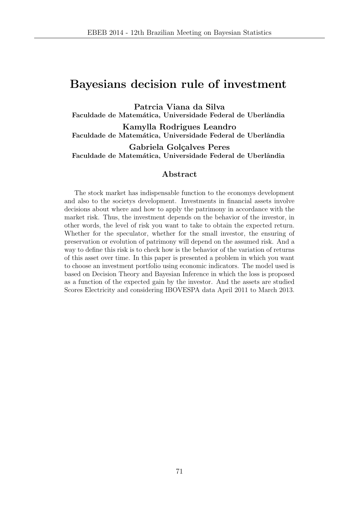### Bayesians decision rule of investment

Patrcia Viana da Silva Faculdade de Matemática, Universidade Federal de Uberlândia

Kamylla Rodrigues Leandro Faculdade de Matemática, Universidade Federal de Uberlândia

Gabriela Golçalves Peres Faculdade de Matemática, Universidade Federal de Uberlândia

### Abstract

The stock market has indispensable function to the economys development and also to the societys development. Investments in financial assets involve decisions about where and how to apply the patrimony in accordance with the market risk. Thus, the investment depends on the behavior of the investor, in other words, the level of risk you want to take to obtain the expected return. Whether for the speculator, whether for the small investor, the ensuring of preservation or evolution of patrimony will depend on the assumed risk. And a way to define this risk is to check how is the behavior of the variation of returns of this asset over time. In this paper is presented a problem in which you want to choose an investment portfolio using economic indicators. The model used is based on Decision Theory and Bayesian Inference in which the loss is proposed as a function of the expected gain by the investor. And the assets are studied Scores Electricity and considering IBOVESPA data April 2011 to March 2013.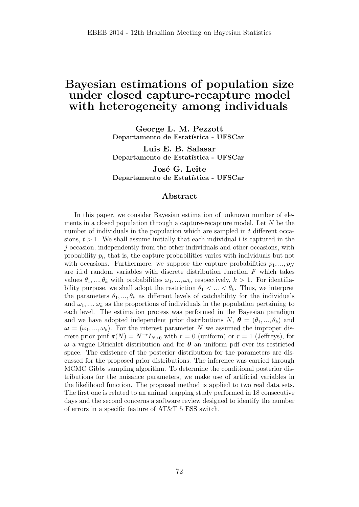### Bayesian estimations of population size under closed capture-recapture model with heterogeneity among individuals

George L. M. Pezzott Departamento de Estatística - UFSCar

Luis E. B. Salasar Departamento de Estatística - UFSCar

José G. Leite Departamento de Estatística - UFSCar

### Abstract

In this paper, we consider Bayesian estimation of unknown number of elements in a closed population through a capture-recapture model. Let N be the number of individuals in the population which are sampled in t different occasions,  $t > 1$ . We shall assume initially that each individual i is captured in the  $j$  occasion, independently from the other individuals and other occasions, with probability  $p_i$ , that is, the capture probabilities varies with individuals but not with occasions. Furthermore, we suppose the capture probabilities  $p_1, ..., p_N$ are i.i.d random variables with discrete distribution function  $F$  which takes values  $\theta_1, ..., \theta_k$  with probabilities  $\omega_1, ..., \omega_k$ , respectively,  $k > 1$ . For identifiability purpose, we shall adopt the restriction  $\theta_1 < ... < \theta_k$ . Thus, we interpret the parameters  $\theta_1, ..., \theta_k$  as different levels of catchability for the individuals and  $\omega_1, ..., \omega_k$  as the proportions of individuals in the population pertaining to each level. The estimation process was performed in the Bayesian paradigm and we have adopted independent prior distributions  $N, \boldsymbol{\theta} = (\theta_1, ..., \theta_k)$  and  $\omega = (\omega_1, ..., \omega_k)$ . For the interest parameter N we assumed the improper discrete prior pmf  $\pi(N) = N^{-r}I_{N>0}$  with  $r = 0$  (uniform) or  $r = 1$  (Jeffreys), for  $\omega$  a vague Dirichlet distribution and for  $\theta$  an uniform pdf over its restricted space. The existence of the posterior distribution for the parameters are discussed for the proposed prior distributions. The inference was carried through MCMC Gibbs sampling algorithm. To determine the conditional posterior distributions for the nuisance parameters, we make use of artificial variables in the likelihood function. The proposed method is applied to two real data sets. The first one is related to an animal trapping study performed in 18 consecutive days and the second concerns a software review designed to identify the number of errors in a specific feature of AT&T 5 ESS switch.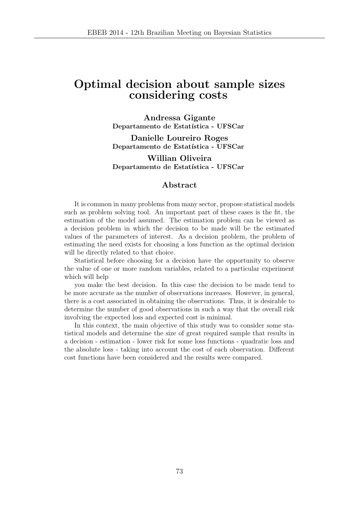## Optimal decision about sample sizes considering costs

Andressa Gigante Departamento de Estatística - UFSCar

Danielle Loureiro Roges Departamento de Estatística - UFSCar

Willian Oliveira Departamento de Estatística - UFSCar

### Abstract

It is common in many problems from many sector, propose statistical models such as problem solving tool. An important part of these cases is the fit, the estimation of the model assumed. The estimation problem can be viewed as a decision problem in which the decision to be made will be the estimated values of the parameters of interest. As a decision problem, the problem of estimating the need exists for choosing a loss function as the optimal decision will be directly related to that choice.

Statistical before choosing for a decision have the opportunity to observe the value of one or more random variables, related to a particular experiment which will help

you make the best decision. In this case the decision to be made tend to be more accurate as the number of observations increases. However, in general, there is a cost associated in obtaining the observations. Thus, it is desirable to determine the number of good observations in such a way that the overall risk involving the expected loss and expected cost is minimal.

In this context, the main objective of this study was to consider some statistical models and determine the size of great required sample that results in a decision - estimation - lower risk for some loss functions - quadratic loss and the absolute loss - taking into account the cost of each observation. Different cost functions have been considered and the results were compared.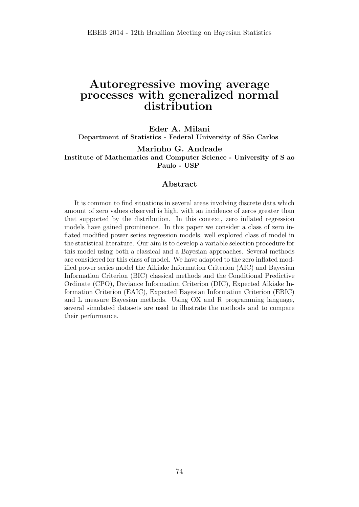### Autoregressive moving average processes with generalized normal distribution

#### Eder A. Milani

Department of Statistics - Federal University of São Carlos

Marinho G. Andrade Institute of Mathematics and Computer Science - University of S ao Paulo - USP

#### Abstract

It is common to find situations in several areas involving discrete data which amount of zero values observed is high, with an incidence of zeros greater than that supported by the distribution. In this context, zero inflated regression models have gained prominence. In this paper we consider a class of zero inflated modified power series regression models, well explored class of model in the statistical literature. Our aim is to develop a variable selection procedure for this model using both a classical and a Bayesian approaches. Several methods are considered for this class of model. We have adapted to the zero inflated modified power series model the Aikiake Information Criterion (AIC) and Bayesian Information Criterion (BIC) classical methods and the Conditional Predictive Ordinate (CPO), Deviance Information Criterion (DIC), Expected Aikiake Information Criterion (EAIC), Expected Bayesian Information Criterion (EBIC) and L measure Bayesian methods. Using OX and R programming language, several simulated datasets are used to illustrate the methods and to compare their performance.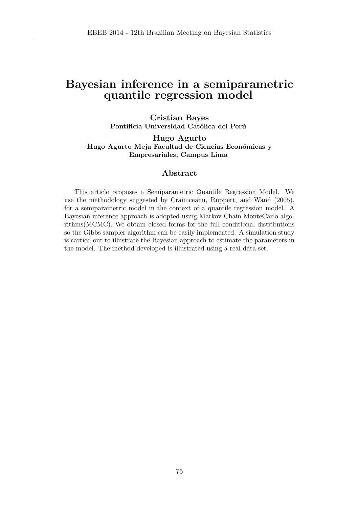## Bayesian inference in a semiparametric quantile regression model

Cristian Bayes Pontificia Universidad Católica del Perú

Hugo Agurto Hugo Agurto Meja Facultad de Ciencias Económicas y Empresariales, Campus Lima

#### Abstract

This article proposes a Semiparametric Quantile Regression Model. We use the methodology suggested by Crainiceanu, Ruppert, and Wand (2005), for a semiparametric model in the context of a quantile regression model. A Bayesian inference approach is adopted using Markov Chain MonteCarlo algorithms(MCMC). We obtain closed forms for the full conditional distributions so the Gibbs sampler algorithm can be easily implemented. A simulation study is carried out to illustrate the Bayesian approach to estimate the parameters in the model. The method developed is illustrated using a real data set.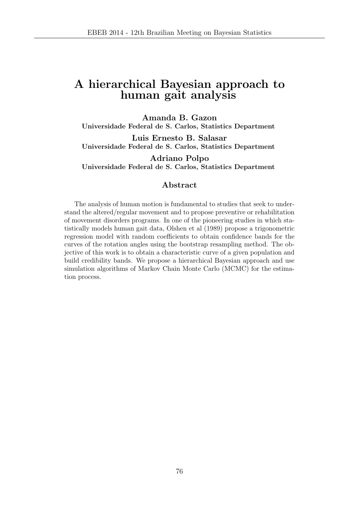## A hierarchical Bayesian approach to human gait analysis

Amanda B. Gazon Universidade Federal de S. Carlos, Statistics Department Luis Ernesto B. Salasar Universidade Federal de S. Carlos, Statistics Department

Adriano Polpo Universidade Federal de S. Carlos, Statistics Department

#### Abstract

The analysis of human motion is fundamental to studies that seek to understand the altered/regular movement and to propose preventive or rehabilitation of movement disorders programs. In one of the pioneering studies in which statistically models human gait data, Olshen et al (1989) propose a trigonometric regression model with random coefficients to obtain confidence bands for the curves of the rotation angles using the bootstrap resampling method. The objective of this work is to obtain a characteristic curve of a given population and build credibility bands. We propose a hierarchical Bayesian approach and use simulation algorithms of Markov Chain Monte Carlo (MCMC) for the estimation process.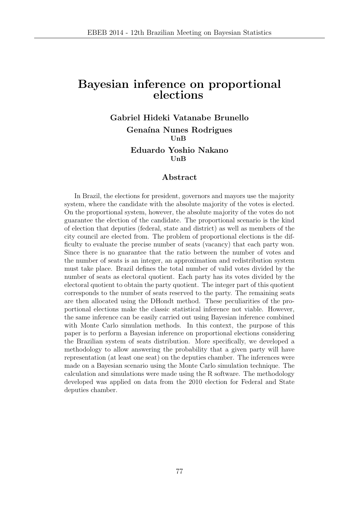### Bayesian inference on proportional elections

Gabriel Hideki Vatanabe Brunello Genaína Nunes Rodrigues UnB Eduardo Yoshio Nakano

UnB

#### Abstract

In Brazil, the elections for president, governors and mayors use the majority system, where the candidate with the absolute majority of the votes is elected. On the proportional system, however, the absolute majority of the votes do not guarantee the election of the candidate. The proportional scenario is the kind of election that deputies (federal, state and district) as well as members of the city council are elected from. The problem of proportional elections is the difficulty to evaluate the precise number of seats (vacancy) that each party won. Since there is no guarantee that the ratio between the number of votes and the number of seats is an integer, an approximation and redistribution system must take place. Brazil defines the total number of valid votes divided by the number of seats as electoral quotient. Each party has its votes divided by the electoral quotient to obtain the party quotient. The integer part of this quotient corresponds to the number of seats reserved to the party. The remaining seats are then allocated using the DHondt method. These peculiarities of the proportional elections make the classic statistical inference not viable. However, the same inference can be easily carried out using Bayesian inference combined with Monte Carlo simulation methods. In this context, the purpose of this paper is to perform a Bayesian inference on proportional elections considering the Brazilian system of seats distribution. More specifically, we developed a methodology to allow answering the probability that a given party will have representation (at least one seat) on the deputies chamber. The inferences were made on a Bayesian scenario using the Monte Carlo simulation technique. The calculation and simulations were made using the R software. The methodology developed was applied on data from the 2010 election for Federal and State deputies chamber.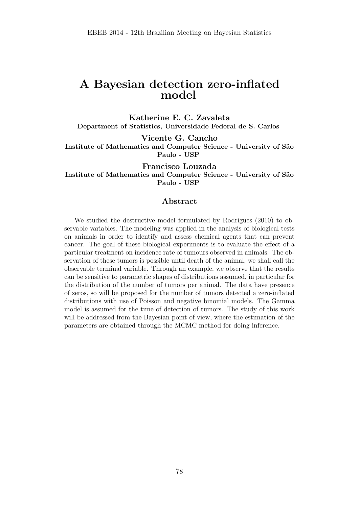### A Bayesian detection zero-inflated model

Katherine E. C. Zavaleta Department of Statistics, Universidade Federal de S. Carlos

Vicente G. Cancho Institute of Mathematics and Computer Science - University of S˜ao Paulo - USP

Francisco Louzada Institute of Mathematics and Computer Science - University of S˜ao Paulo - USP

#### Abstract

We studied the destructive model formulated by Rodrigues (2010) to observable variables. The modeling was applied in the analysis of biological tests on animals in order to identify and assess chemical agents that can prevent cancer. The goal of these biological experiments is to evaluate the effect of a particular treatment on incidence rate of tumours observed in animals. The observation of these tumors is possible until death of the animal, we shall call the observable terminal variable. Through an example, we observe that the results can be sensitive to parametric shapes of distributions assumed, in particular for the distribution of the number of tumors per animal. The data have presence of zeros, so will be proposed for the number of tumors detected a zero-inflated distributions with use of Poisson and negative binomial models. The Gamma model is assumed for the time of detection of tumors. The study of this work will be addressed from the Bayesian point of view, where the estimation of the parameters are obtained through the MCMC method for doing inference.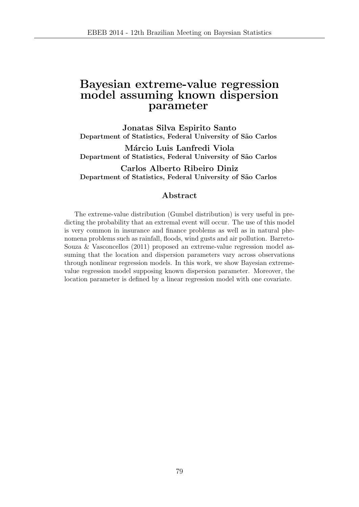### Bayesian extreme-value regression model assuming known dispersion parameter

Jonatas Silva Espirito Santo Department of Statistics, Federal University of São Carlos

Márcio Luis Lanfredi Viola Department of Statistics, Federal University of São Carlos

Carlos Alberto Ribeiro Diniz Department of Statistics, Federal University of São Carlos

### Abstract

The extreme-value distribution (Gumbel distribution) is very useful in predicting the probability that an extremal event will occur. The use of this model is very common in insurance and finance problems as well as in natural phenomena problems such as rainfall, floods, wind gusts and air pollution. Barreto-Souza & Vasconcellos (2011) proposed an extreme-value regression model assuming that the location and dispersion parameters vary across observations through nonlinear regression models. In this work, we show Bayesian extremevalue regression model supposing known dispersion parameter. Moreover, the location parameter is defined by a linear regression model with one covariate.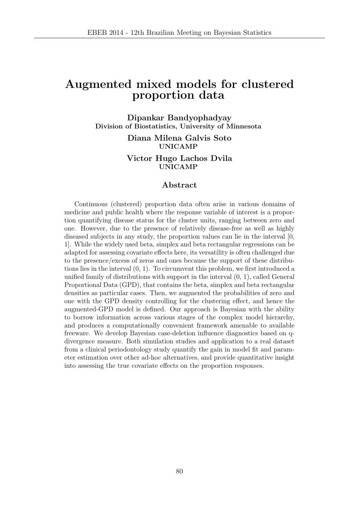### Augmented mixed models for clustered proportion data

Dipankar Bandyophadyay Division of Biostatistics, University of Minnesota

> Diana Milena Galvis Soto UNICAMP

> Victor Hugo Lachos Dvila UNICAMP

#### Abstract

Continuous (clustered) proportion data often arise in various domains of medicine and public health where the response variable of interest is a proportion quantifying disease status for the cluster units, ranging between zero and one. However, due to the presence of relatively disease-free as well as highly diseased subjects in any study, the proportion values can lie in the interval [0, 1]. While the widely used beta, simplex and beta rectangular regressions can be adapted for assessing covariate effects here, its versatility is often challenged due to the presence/excess of zeros and ones because the support of these distributions lies in the interval (0, 1). To circumvent this problem, we first introduced a unified family of distributions with support in the interval (0, 1), called General Proportional Data (GPD), that contains the beta, simplex and beta rectangular densities as particular cases. Then, we augmented the probabilities of zero and one with the GPD density controlling for the clustering effect, and hence the augmented-GPD model is defined. Our approach is Bayesian with the ability to borrow information across various stages of the complex model hierarchy, and produces a computationally convenient framework amenable to available freeware. We develop Bayesian case-deletion influence diagnostics based on qdivergence measure. Both simulation studies and application to a real dataset from a clinical periodontology study quantify the gain in model fit and parameter estimation over other ad-hoc alternatives, and provide quantitative insight into assessing the true covariate effects on the proportion responses.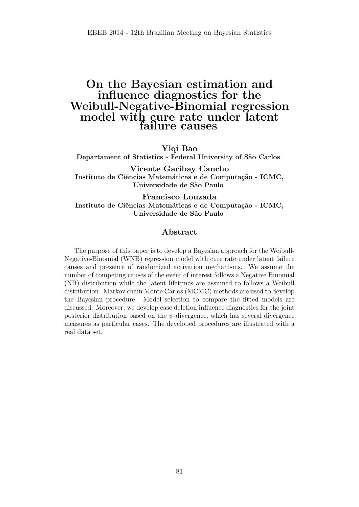### On the Bayesian estimation and influence diagnostics for the Weibull-Negative-Binomial regression model with cure rate under latent failure causes

Yiqi Bao

Departament of Statistics - Federal University of São Carlos

Vicente Garibay Cancho Instituto de Ciências Matemáticas e de Computação - ICMC, Universidade de São Paulo

Francisco Louzada Instituto de Ciências Matemáticas e de Computação - ICMC, Universidade de São Paulo

### Abstract

The purpose of this paper is to develop a Bayesian approach for the Weibull-Negative-Binomial (WNB) regression model with cure rate under latent failure causes and presence of randomized activation mechanisms. We assume the number of competing causes of the event of interest follows a Negative Binomial (NB) distribution while the latent lifetimes are assumed to follows a Weibull distribution. Markov chain Monte Carlos (MCMC) methods are used to develop the Bayesian procedure. Model selection to compare the fitted models are discussed. Moreover, we develop case deletion influence diagnostics for the joint posterior distribution based on the  $\psi$ -divergence, which has several divergence measures as particular cases. The developed procedures are illustrated with a real data set.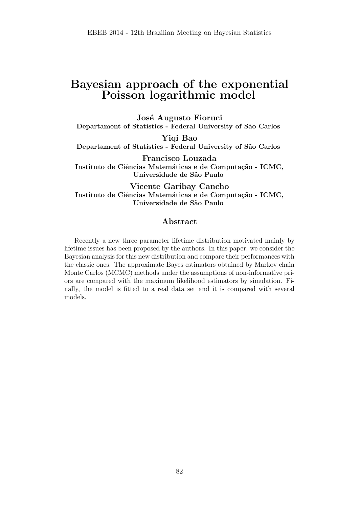## Bayesian approach of the exponential Poisson logarithmic model

José Augusto Fioruci Departament of Statistics - Federal University of São Carlos

Yiqi Bao Departament of Statistics - Federal University of São Carlos

Francisco Louzada Instituto de Ciências Matemáticas e de Computação - ICMC, Universidade de São Paulo

Vicente Garibay Cancho Instituto de Ciências Matemáticas e de Computação - ICMC, Universidade de São Paulo

### Abstract

Recently a new three parameter lifetime distribution motivated mainly by lifetime issues has been proposed by the authors. In this paper, we consider the Bayesian analysis for this new distribution and compare their performances with the classic ones. The approximate Bayes estimators obtained by Markov chain Monte Carlos (MCMC) methods under the assumptions of non-informative priors are compared with the maximum likelihood estimators by simulation. Finally, the model is fitted to a real data set and it is compared with several models.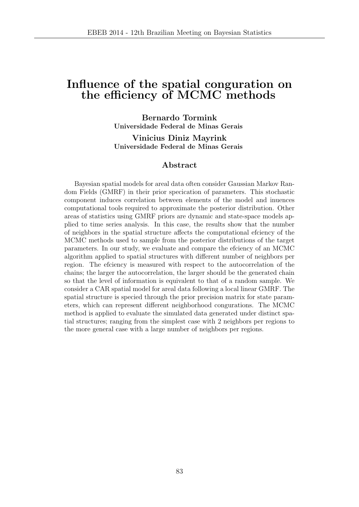### Influence of the spatial conguration on the efficiency of MCMC methods

Bernardo Tormink Universidade Federal de Minas Gerais

Vinicius Diniz Mayrink Universidade Federal de Minas Gerais

### Abstract

Bayesian spatial models for areal data often consider Gaussian Markov Random Fields (GMRF) in their prior specication of parameters. This stochastic component induces correlation between elements of the model and inuences computational tools required to approximate the posterior distribution. Other areas of statistics using GMRF priors are dynamic and state-space models applied to time series analysis. In this case, the results show that the number of neighbors in the spatial structure affects the computational efciency of the MCMC methods used to sample from the posterior distributions of the target parameters. In our study, we evaluate and compare the efciency of an MCMC algorithm applied to spatial structures with different number of neighbors per region. The efciency is measured with respect to the autocorrelation of the chains; the larger the autocorrelation, the larger should be the generated chain so that the level of information is equivalent to that of a random sample. We consider a CAR spatial model for areal data following a local linear GMRF. The spatial structure is specied through the prior precision matrix for state parameters, which can represent different neighborhood congurations. The MCMC method is applied to evaluate the simulated data generated under distinct spatial structures; ranging from the simplest case with 2 neighbors per regions to the more general case with a large number of neighbors per regions.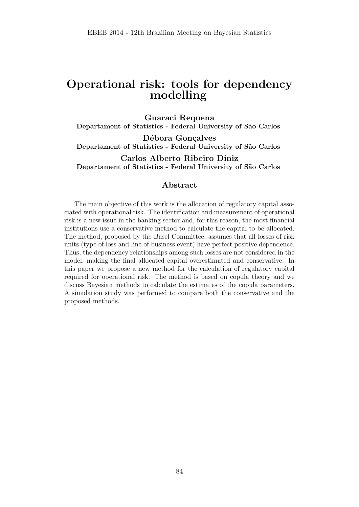## Operational risk: tools for dependency modelling

Guaraci Requena Departament of Statistics - Federal University of São Carlos Débora Gonçalves Departament of Statistics - Federal University of São Carlos Carlos Alberto Ribeiro Diniz

Departament of Statistics - Federal University of São Carlos

### Abstract

The main objective of this work is the allocation of regulatory capital associated with operational risk. The identification and measurement of operational risk is a new issue in the banking sector and, for this reason, the most financial institutions use a conservative method to calculate the capital to be allocated. The method, proposed by the Basel Committee, assumes that all losses of risk units (type of loss and line of business event) have perfect positive dependence. Thus, the dependency relationships among such losses are not considered in the model, making the final allocated capital overestimated and conservative. In this paper we propose a new method for the calculation of regulatory capital required for operational risk. The method is based on copula theory and we discuss Bayesian methods to calculate the estimates of the copula parameters. A simulation study was performed to compare both the conservative and the proposed methods.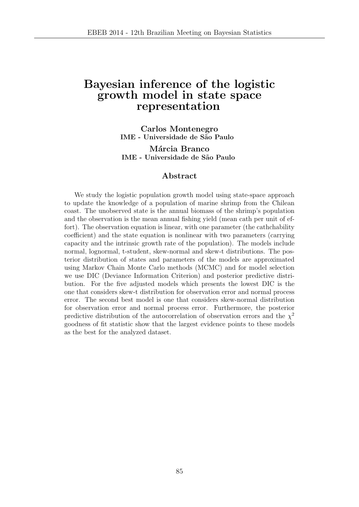### Bayesian inference of the logistic growth model in state space representation

Carlos Montenegro IME - Universidade de S˜ao Paulo

Márcia Branco IME - Universidade de S˜ao Paulo

### Abstract

We study the logistic population growth model using state-space approach to update the knowledge of a population of marine shrimp from the Chilean coast. The unobserved state is the annual biomass of the shrimp's population and the observation is the mean annual fishing yield (mean cath per unit of effort). The observation equation is linear, with one parameter (the cathchability coefficient) and the state equation is nonlinear with two parameters (carrying capacity and the intrinsic growth rate of the population). The models include normal, lognormal, t-student, skew-normal and skew-t distributions. The posterior distribution of states and parameters of the models are approximated using Markov Chain Monte Carlo methods (MCMC) and for model selection we use DIC (Deviance Information Criterion) and posterior predictive distribution. For the five adjusted models which presents the lowest DIC is the one that considers skew-t distribution for observation error and normal process error. The second best model is one that considers skew-normal distribution for observation error and normal process error. Furthermore, the posterior predictive distribution of the autocorrelation of observation errors and the  $\chi^2$ goodness of fit statistic show that the largest evidence points to these models as the best for the analyzed dataset.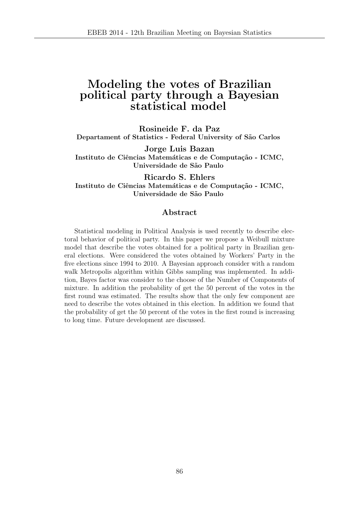## Modeling the votes of Brazilian political party through a Bayesian statistical model

Rosineide F. da Paz Departament of Statistics - Federal University of São Carlos

Jorge Luis Bazan Instituto de Ciências Matemáticas e de Computação - ICMC, Universidade de São Paulo

Ricardo S. Ehlers Instituto de Ciências Matemáticas e de Computação - ICMC, Universidade de São Paulo

### Abstract

Statistical modeling in Political Analysis is used recently to describe electoral behavior of political party. In this paper we propose a Weibull mixture model that describe the votes obtained for a political party in Brazilian general elections. Were considered the votes obtained by Workers' Party in the five elections since 1994 to 2010. A Bayesian approach consider with a random walk Metropolis algorithm within Gibbs sampling was implemented. In addition, Bayes factor was consider to the choose of the Number of Components of mixture. In addition the probability of get the 50 percent of the votes in the first round was estimated. The results show that the only few component are need to describe the votes obtained in this election. In addition we found that the probability of get the 50 percent of the votes in the first round is increasing to long time. Future development are discussed.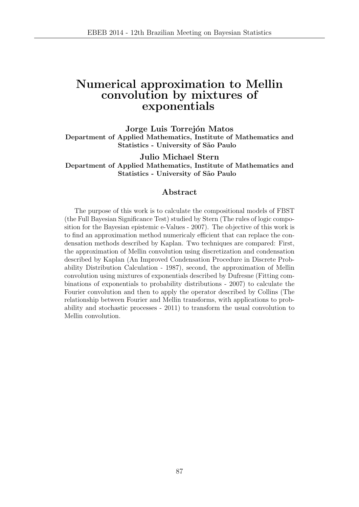### Numerical approximation to Mellin convolution by mixtures of exponentials

Jorge Luis Torrejón Matos Department of Applied Mathematics, Institute of Mathematics and Statistics - University of São Paulo

Julio Michael Stern Department of Applied Mathematics, Institute of Mathematics and Statistics - University of São Paulo

#### Abstract

The purpose of this work is to calculate the compositional models of FBST (the Full Bayesian Significance Test) studied by Stern (The rules of logic composition for the Bayesian epistemic e-Values - 2007). The objective of this work is to find an approximation method numericaly efficient that can replace the condensation methods described by Kaplan. Two techniques are compared: First, the approximation of Mellin convolution using discretization and condensation described by Kaplan (An Improved Condensation Procedure in Discrete Probability Distribution Calculation - 1987), second, the approximation of Mellin convolution using mixtures of exponentials described by Dufresne (Fitting combinations of exponentials to probability distributions - 2007) to calculate the Fourier convolution and then to apply the operator described by Collins (The relationship between Fourier and Mellin transforms, with applications to probability and stochastic processes - 2011) to transform the usual convolution to Mellin convolution.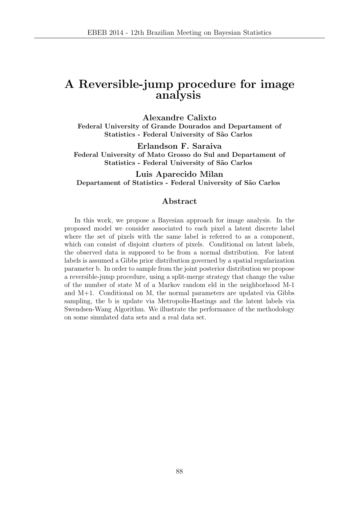## A Reversible-jump procedure for image analysis

Alexandre Calixto Federal University of Grande Dourados and Departament of Statistics - Federal University of São Carlos

Erlandson F. Saraiva Federal University of Mato Grosso do Sul and Departament of Statistics - Federal University of São Carlos

Luis Aparecido Milan Departament of Statistics - Federal University of São Carlos

#### Abstract

In this work, we propose a Bayesian approach for image analysis. In the proposed model we consider associated to each pixel a latent discrete label where the set of pixels with the same label is referred to as a component, which can consist of disjoint clusters of pixels. Conditional on latent labels, the observed data is supposed to be from a normal distribution. For latent labels is assumed a Gibbs prior distribution governed by a spatial regularization parameter b. In order to sample from the joint posterior distribution we propose a reversible-jump procedure, using a split-merge strategy that change the value of the number of state M of a Markov random eld in the neighborhood M-1 and M+1. Conditional on M, the normal parameters are updated via Gibbs sampling, the b is update via Metropolis-Hastings and the latent labels via Swendsen-Wang Algorithm. We illustrate the performance of the methodology on some simulated data sets and a real data set.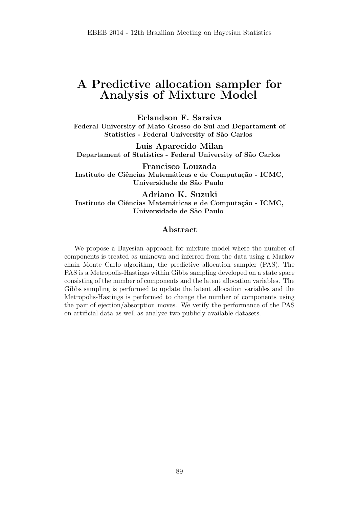## A Predictive allocation sampler for Analysis of Mixture Model

Erlandson F. Saraiva Federal University of Mato Grosso do Sul and Departament of Statistics - Federal University of São Carlos

Luis Aparecido Milan Departament of Statistics - Federal University of São Carlos

Francisco Louzada Instituto de Ciências Matemáticas e de Computação - ICMC, Universidade de S˜ao Paulo

Adriano K. Suzuki Instituto de Ciências Matemáticas e de Computação - ICMC, Universidade de S˜ao Paulo

#### Abstract

We propose a Bayesian approach for mixture model where the number of components is treated as unknown and inferred from the data using a Markov chain Monte Carlo algorithm, the predictive allocation sampler (PAS). The PAS is a Metropolis-Hastings within Gibbs sampling developed on a state space consisting of the number of components and the latent allocation variables. The Gibbs sampling is performed to update the latent allocation variables and the Metropolis-Hastings is performed to change the number of components using the pair of ejection/absorption moves. We verify the performance of the PAS on artificial data as well as analyze two publicly available datasets.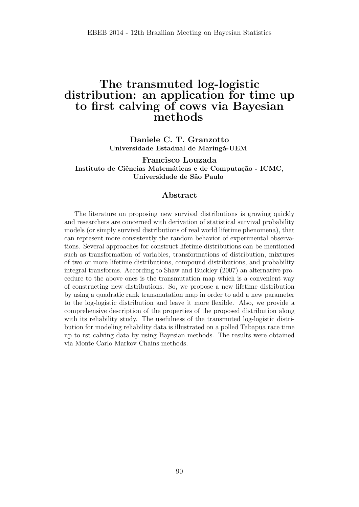## The transmuted log-logistic distribution: an application for time up to first calving of cows via Bayesian methods

Daniele C. T. Granzotto Universidade Estadual de Maringá-UEM

Francisco Louzada Instituto de Ciências Matemáticas e de Computação - ICMC, Universidade de S˜ao Paulo

### Abstract

The literature on proposing new survival distributions is growing quickly and researchers are concerned with derivation of statistical survival probability models (or simply survival distributions of real world lifetime phenomena), that can represent more consistently the random behavior of experimental observations. Several approaches for construct lifetime distributions can be mentioned such as transformation of variables, transformations of distribution, mixtures of two or more lifetime distributions, compound distributions, and probability integral transforms. According to Shaw and Buckley (2007) an alternative procedure to the above ones is the transmutation map which is a convenient way of constructing new distributions. So, we propose a new lifetime distribution by using a quadratic rank transmutation map in order to add a new parameter to the log-logistic distribution and leave it more flexible. Also, we provide a comprehensive description of the properties of the proposed distribution along with its reliability study. The usefulness of the transmuted log-logistic distribution for modeling reliability data is illustrated on a polled Tabapua race time up to rst calving data by using Bayesian methods. The results were obtained via Monte Carlo Markov Chains methods.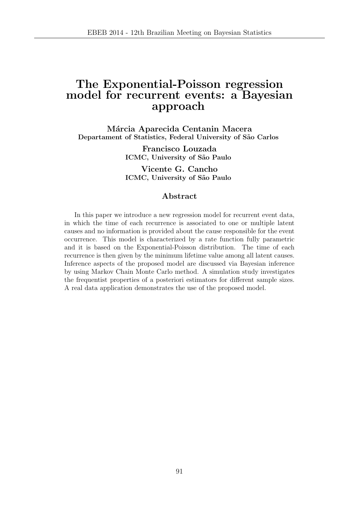## The Exponential-Poisson regression model for recurrent events: a Bayesian approach

Márcia Aparecida Centanin Macera Departament of Statistics, Federal University of São Carlos

> Francisco Louzada ICMC, University of São Paulo

> Vicente G. Cancho ICMC, University of São Paulo

### Abstract

In this paper we introduce a new regression model for recurrent event data, in which the time of each recurrence is associated to one or multiple latent causes and no information is provided about the cause responsible for the event occurrence. This model is characterized by a rate function fully parametric and it is based on the Exponential-Poisson distribution. The time of each recurrence is then given by the minimum lifetime value among all latent causes. Inference aspects of the proposed model are discussed via Bayesian inference by using Markov Chain Monte Carlo method. A simulation study investigates the frequentist properties of a posteriori estimators for different sample sizes. A real data application demonstrates the use of the proposed model.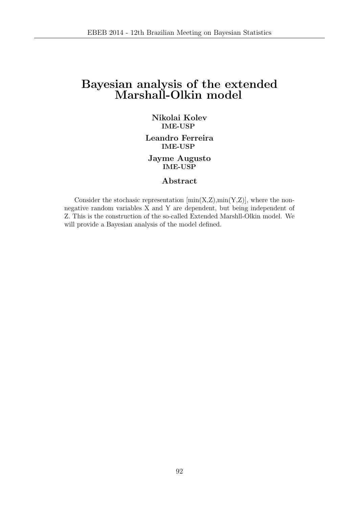## Bayesian analysis of the extended Marshall-Olkin model

### Nikolai Kolev IME-USP

Leandro Ferreira IME-USP

Jayme Augusto IME-USP

### Abstract

Consider the stochasic representation  $[\min(X,Z),\min(Y,Z)]$ , where the nonnegative random variables X and Y are dependent, but being independent of Z. This is the construction of the so-called Extended Marshll-Olkin model. We will provide a Bayesian analysis of the model defined.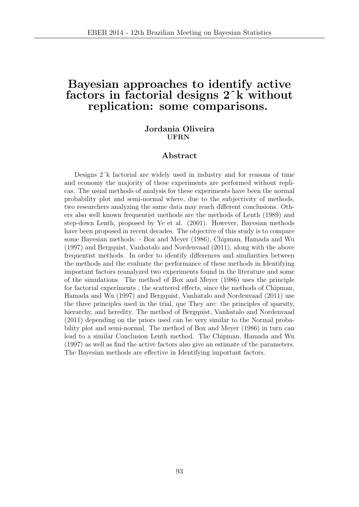## Bayesian approaches to identify active factors in factorial designs 2ˆk without replication: some comparisons.

### Jordania Oliveira UFRN

#### Abstract

Designs 2ˆk factorial are widely used in industry and for reasons of time and economy the majority of these experiments are performed without replicas. The usual methods of analysis for these experiments have been the normal probability plot and semi-normal where, due to the subjectivity of methods, two researchers analyzing the same data may reach different conclusions. Others also well known frequentist methods are the methods of Lenth (1989) and step-down Lenth, proposed by Ye et al. (2001). However, Bayesian methods have been proposed in recent decades. The objective of this study is to compare some Bayesian methods: - Box and Meyer (1986), Chipman, Hamada and Wu (1997) and Bergquist, Vanhatalo and Nordenvaad (2011), along with the above frequentist methods. In order to identify differences and similarities between the methods and the evaluate the performance of these methods in Identifying important factors reanalyzed two experiments found in the literature and some of the simulations. The method of Box and Meyer (1986) uses the principle for factorial experiments , the scattered effects, since the methods of Chipman, Hamada and Wu (1997) and Bergquist, Vanhatalo and Nordenvaad (2011) use the three principles used in the trial, que They are: the principles of sparsity, hierarchy, and heredity. The method of Bergquist, Vanhatalo and Nordenvaad (2011) depending on the priors used can be very similar to the Normal probability plot and semi-normal. The method of Box and Meyer (1986) in turn can lead to a similar Conclusion Lenth method. The Chipman, Hamada and Wu (1997) as well as find the active factors also give an estimate of the parameters. The Bayesian methods are effective in Identifying important factors.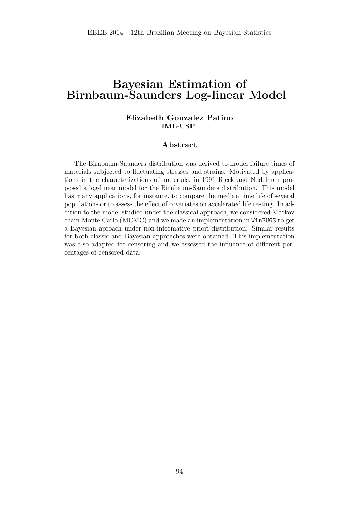## Bayesian Estimation of Birnbaum-Saunders Log-linear Model

### Elizabeth Gonzalez Patino IME-USP

### Abstract

The Birnbaum-Saunders distribution was derived to model failure times of materials subjected to fluctuating stresses and strains. Motivated by applications in the characterizations of materials, in 1991 Rieck and Nedelman proposed a log-linear model for the Birnbaum-Saunders distribution. This model has many applications, for instance, to compare the median time life of several populations or to assess the effect of covariates on accelerated life testing. In addition to the model studied under the classical approach, we considered Markov chain Monte Carlo (MCMC) and we made an implementation in WinBUGS to get a Bayesian aproach under non-informative priori distribution. Similar results for both classic and Bayesian approaches were obtained. This implementation was also adapted for censoring and we assessed the influence of different percentages of censored data.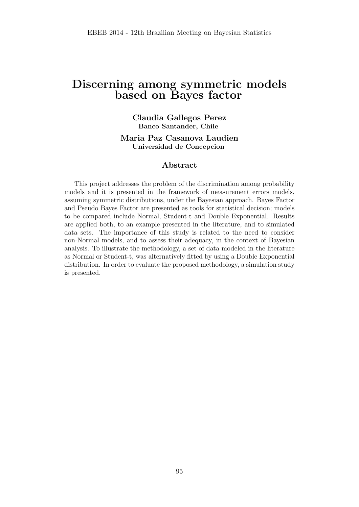## Discerning among symmetric models based on Bayes factor

Claudia Gallegos Perez Banco Santander, Chile

Maria Paz Casanova Laudien Universidad de Concepcion

### Abstract

This project addresses the problem of the discrimination among probability models and it is presented in the framework of measurement errors models, assuming symmetric distributions, under the Bayesian approach. Bayes Factor and Pseudo Bayes Factor are presented as tools for statistical decision; models to be compared include Normal, Student-t and Double Exponential. Results are applied both, to an example presented in the literature, and to simulated data sets. The importance of this study is related to the need to consider non-Normal models, and to assess their adequacy, in the context of Bayesian analysis. To illustrate the methodology, a set of data modeled in the literature as Normal or Student-t, was alternatively fitted by using a Double Exponential distribution. In order to evaluate the proposed methodology, a simulation study is presented.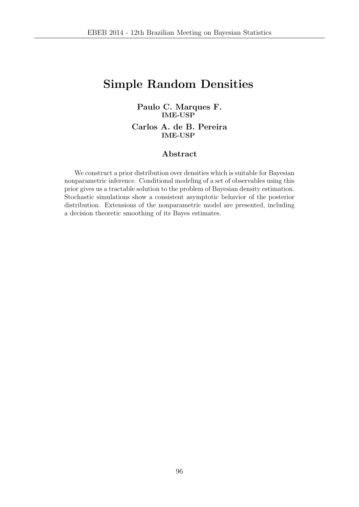## Simple Random Densities

### Paulo C. Marques F. IME-USP

Carlos A. de B. Pereira IME-USP

### Abstract

We construct a prior distribution over densities which is suitable for Bayesian nonparametric inference. Conditional modeling of a set of observables using this prior gives us a tractable solution to the problem of Bayesian density estimation. Stochastic simulations show a consistent asymptotic behavior of the posterior distribution. Extensions of the nonparametric model are presented, including a decision theoretic smoothing of its Bayes estimates.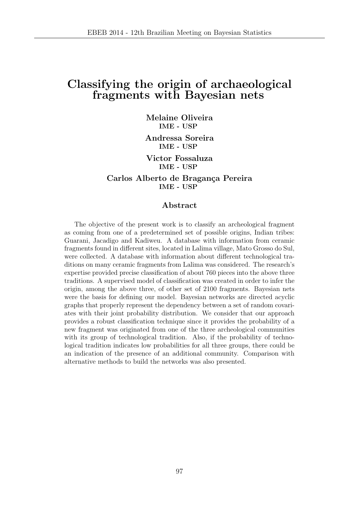## Classifying the origin of archaeological fragments with Bayesian nets

Melaine Oliveira IME - USP

Andressa Soreira IME - USP

Victor Fossaluza IME - USP

Carlos Alberto de Bragança Pereira IME - USP

#### Abstract

The objective of the present work is to classify an archeological fragment as coming from one of a predetermined set of possible origins, Indian tribes: Guarani, Jacadigo and Kadiweu. A database with information from ceramic fragments found in different sites, located in Lalima village, Mato Grosso do Sul, were collected. A database with information about different technological traditions on many ceramic fragments from Lalima was considered. The research's expertise provided precise classification of about 760 pieces into the above three traditions. A supervised model of classification was created in order to infer the origin, among the above three, of other set of 2100 fragments. Bayesian nets were the basis for defining our model. Bayesian networks are directed acyclic graphs that properly represent the dependency between a set of random covariates with their joint probability distribution. We consider that our approach provides a robust classification technique since it provides the probability of a new fragment was originated from one of the three archeological communities with its group of technological tradition. Also, if the probability of technological tradition indicates low probabilities for all three groups, there could be an indication of the presence of an additional community. Comparison with alternative methods to build the networks was also presented.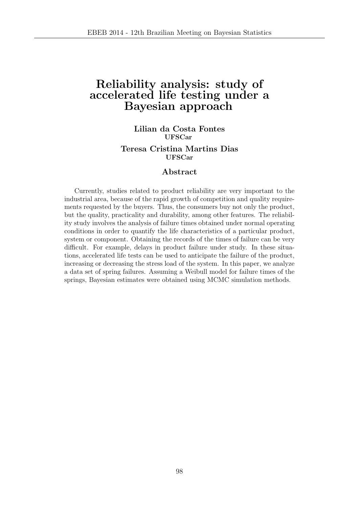## Reliability analysis: study of accelerated life testing under a Bayesian approach

### Lilian da Costa Fontes UFSCar

### Teresa Cristina Martins Dias UFSCar

#### Abstract

Currently, studies related to product reliability are very important to the industrial area, because of the rapid growth of competition and quality requirements requested by the buyers. Thus, the consumers buy not only the product, but the quality, practicality and durability, among other features. The reliability study involves the analysis of failure times obtained under normal operating conditions in order to quantify the life characteristics of a particular product, system or component. Obtaining the records of the times of failure can be very difficult. For example, delays in product failure under study. In these situations, accelerated life tests can be used to anticipate the failure of the product, increasing or decreasing the stress load of the system. In this paper, we analyze a data set of spring failures. Assuming a Weibull model for failure times of the springs, Bayesian estimates were obtained using MCMC simulation methods.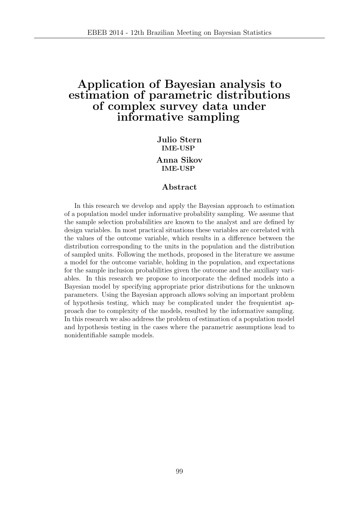### Application of Bayesian analysis to estimation of parametric distributions of complex survey data under informative sampling

Julio Stern IME-USP

Anna Sikov IME-USP

#### Abstract

In this research we develop and apply the Bayesian approach to estimation of a population model under informative probability sampling. We assume that the sample selection probabilities are known to the analyst and are defined by design variables. In most practical situations these variables are correlated with the values of the outcome variable, which results in a difference between the distribution corresponding to the units in the population and the distribution of sampled units. Following the methods, proposed in the literature we assume a model for the outcome variable, holding in the population, and expectations for the sample inclusion probabilities given the outcome and the auxiliary variables. In this research we propose to incorporate the defined models into a Bayesian model by specifying appropriate prior distributions for the unknown parameters. Using the Bayesian approach allows solving an important problem of hypothesis testing, which may be complicated under the frequientist approach due to complexity of the models, resulted by the informative sampling. In this research we also address the problem of estimation of a population model and hypothesis testing in the cases where the parametric assumptions lead to nonidentifiable sample models.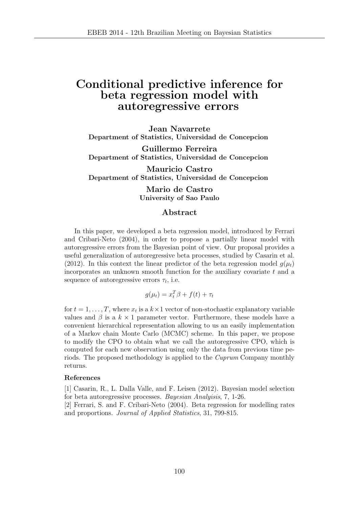### Conditional predictive inference for beta regression model with autoregressive errors

Jean Navarrete Department of Statistics, Universidad de Concepcion

Guillermo Ferreira Department of Statistics, Universidad de Concepcion

Mauricio Castro Department of Statistics, Universidad de Concepcion

> Mario de Castro University of Sao Paulo

#### Abstract

In this paper, we developed a beta regression model, introduced by Ferrari and Cribari-Neto (2004), in order to propose a partially linear model with autoregressive errors from the Bayesian point of view. Our proposal provides a useful generalization of autoregressive beta processes, studied by Casarin et al. (2012). In this context the linear predictor of the beta regression model  $g(\mu_t)$ incorporates an unknown smooth function for the auxiliary covariate t and a sequence of autoregressive errors  $\tau_t$ , i.e.

$$
g(\mu_t) = x_t^T \beta + f(t) + \tau_t
$$

for  $t = 1, \ldots, T$ , where  $x_t$  is a  $k \times 1$  vector of non-stochastic explanatory variable values and  $\beta$  is a  $k \times 1$  parameter vector. Furthermore, these models have a convenient hierarchical representation allowing to us an easily implementation of a Markov chain Monte Carlo (MCMC) scheme. In this paper, we propose to modify the CPO to obtain what we call the autoregressive CPO, which is computed for each new observation using only the data from previous time periods. The proposed methodology is applied to the Cuprum Company monthly returns.

#### References

[1] Casarin, R., L. Dalla Valle, and F. Leisen (2012). Bayesian model selection for beta autoregressive processes. Bayesian Analyisis, 7, 1-26.

[2] Ferrari, S. and F. Cribari-Neto (2004). Beta regression for modelling rates and proportions. Journal of Applied Statistics, 31, 799-815.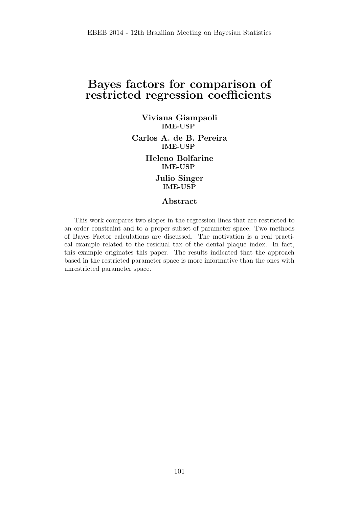## Bayes factors for comparison of restricted regression coefficients

Viviana Giampaoli IME-USP

Carlos A. de B. Pereira IME-USP

> Heleno Bolfarine IME-USP

> > Julio Singer IME-USP

### Abstract

This work compares two slopes in the regression lines that are restricted to an order constraint and to a proper subset of parameter space. Two methods of Bayes Factor calculations are discussed. The motivation is a real practical example related to the residual tax of the dental plaque index. In fact, this example originates this paper. The results indicated that the approach based in the restricted parameter space is more informative than the ones with unrestricted parameter space.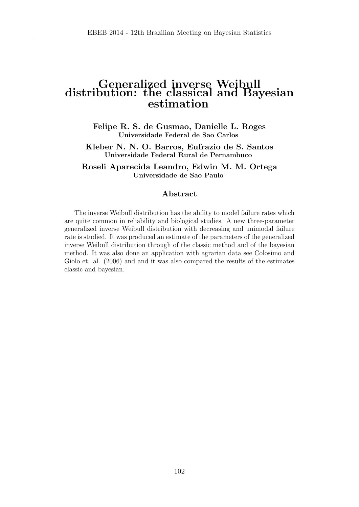### Generalized inverse Weibull distribution: the classical and Bayesian estimation

Felipe R. S. de Gusmao, Danielle L. Roges Universidade Federal de Sao Carlos

Kleber N. N. O. Barros, Eufrazio de S. Santos Universidade Federal Rural de Pernambuco

Roseli Aparecida Leandro, Edwin M. M. Ortega Universidade de Sao Paulo

### Abstract

The inverse Weibull distribution has the ability to model failure rates which are quite common in reliability and biological studies. A new three-parameter generalized inverse Weibull distribution with decreasing and unimodal failure rate is studied. It was produced an estimate of the parameters of the generalized inverse Weibull distribution through of the classic method and of the bayesian method. It was also done an application with agrarian data see Colosimo and Giolo et. al. (2006) and and it was also compared the results of the estimates classic and bayesian.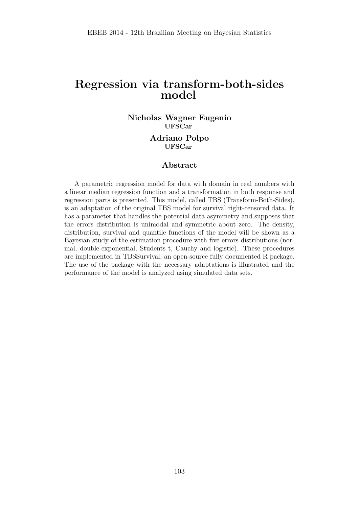## Regression via transform-both-sides model

### Nicholas Wagner Eugenio UFSCar Adriano Polpo UFSCar

### Abstract

A parametric regression model for data with domain in real numbers with a linear median regression function and a transformation in both response and regression parts is presented. This model, called TBS (Transform-Both-Sides), is an adaptation of the original TBS model for survival right-censored data. It has a parameter that handles the potential data asymmetry and supposes that the errors distribution is unimodal and symmetric about zero. The density, distribution, survival and quantile functions of the model will be shown as a Bayesian study of the estimation procedure with five errors distributions (normal, double-exponential, Students t, Cauchy and logistic). These procedures are implemented in TBSSurvival, an open-source fully documented R package. The use of the package with the necessary adaptations is illustrated and the performance of the model is analyzed using simulated data sets.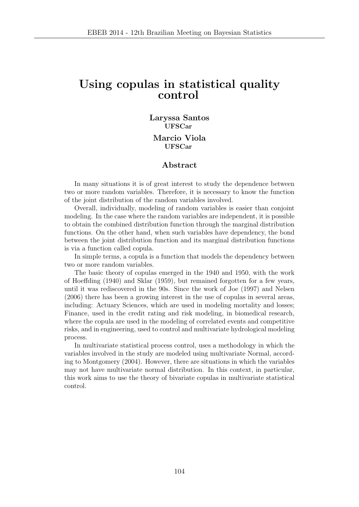### Using copulas in statistical quality control

### Laryssa Santos UFSCar Marcio Viola UFSCar

### Abstract

In many situations it is of great interest to study the dependence between two or more random variables. Therefore, it is necessary to know the function of the joint distribution of the random variables involved.

Overall, individually, modeling of random variables is easier than conjoint modeling. In the case where the random variables are independent, it is possible to obtain the combined distribution function through the marginal distribution functions. On the other hand, when such variables have dependency, the bond between the joint distribution function and its marginal distribution functions is via a function called copula.

In simple terms, a copula is a function that models the dependency between two or more random variables.

The basic theory of copulas emerged in the 1940 and 1950, with the work of Hoeffding (1940) and Sklar (1959), but remained forgotten for a few years, until it was rediscovered in the 90s. Since the work of Joe (1997) and Nelsen (2006) there has been a growing interest in the use of copulas in several areas, including: Actuary Sciences, which are used in modeling mortality and losses; Finance, used in the credit rating and risk modeling, in biomedical research, where the copula are used in the modeling of correlated events and competitive risks, and in engineering, used to control and multivariate hydrological modeling process.

In multivariate statistical process control, uses a methodology in which the variables involved in the study are modeled using multivariate Normal, according to Montgomery (2004). However, there are situations in which the variables may not have multivariate normal distribution. In this context, in particular, this work aims to use the theory of bivariate copulas in multivariate statistical control.